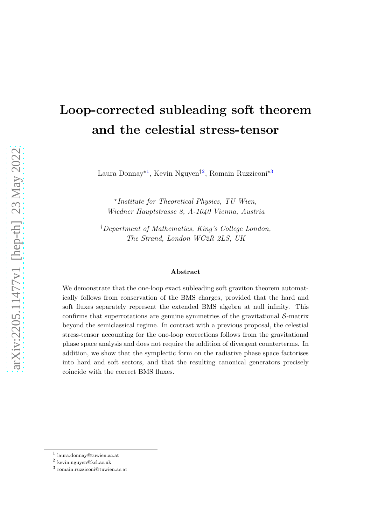# Loop-corrected subleading soft theorem and the celestial stress-tensor

Laura Donnay<sup>\*[1](#page-0-0)</sup>, Kevin Nguyen<sup>†[2](#page-0-1)</sup>, Romain Ruzziconi<sup>\*[3](#page-0-2)</sup>

⋆ *Institute for Theoretical Physics, TU Wien, Wiedner Hauptstrasse 8, A-1040 Vienna, Austria*

†*Department of Mathematics, King's College London, The Strand, London WC2R 2LS, UK*

#### Abstract

We demonstrate that the one-loop exact subleading soft graviton theorem automatically follows from conservation of the BMS charges, provided that the hard and soft fluxes separately represent the extended BMS algebra at null infinity. This confirms that superrotations are genuine symmetries of the gravitational  $S$ -matrix beyond the semiclassical regime. In contrast with a previous proposal, the celestial stress-tensor accounting for the one-loop corrections follows from the gravitational phase space analysis and does not require the addition of divergent counterterms. In addition, we show that the symplectic form on the radiative phase space factorises into hard and soft sectors, and that the resulting canonical generators precisely coincide with the correct BMS fluxes.

<sup>1</sup> [laura.donnay@tuwien.ac.at](mailto:laura.donnay@tuwien.ac.at)

<span id="page-0-0"></span><sup>2</sup> [kevin.nguyen@kcl.ac.uk](mailto:kevin.nguyen@kcl.ac.uk)

<span id="page-0-2"></span><span id="page-0-1"></span><sup>3</sup> [romain.ruzziconi@tuwien.ac.at](mailto:romain.ruzziconi@tuwien.ac.at)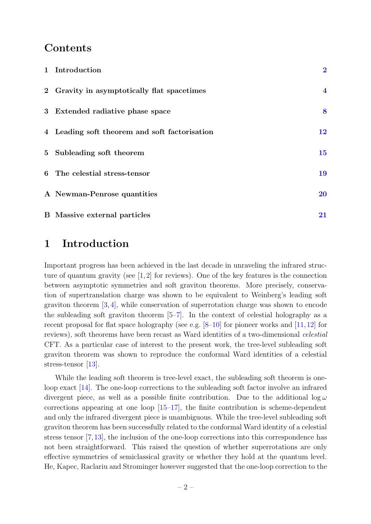#### Contents

| 1 Introduction                                | $\overline{2}$          |
|-----------------------------------------------|-------------------------|
| 2 Gravity in asymptotically flat spacetimes   | $\overline{\mathbf{4}}$ |
| 3 Extended radiative phase space              | 8                       |
| 4 Leading soft theorem and soft factorisation | 12                      |
| 5 Subleading soft theorem                     | 15                      |
| 6 The celestial stress-tensor                 | 19                      |
| A Newman-Penrose quantities                   | <b>20</b>               |
| <b>B</b> Massive external particles           | 21                      |

#### <span id="page-1-0"></span>1 Introduction

Important progress has been achieved in the last decade in unraveling the infrared structure of quantum gravity (see  $[1,2]$  $[1,2]$  for reviews). One of the key features is the connection between asymptotic symmetries and soft graviton theorems. More precisely, conservation of supertranslation charge was shown to be equivalent to Weinberg's leading soft graviton theorem  $[3, 4]$  $[3, 4]$ , while conservation of superrotation charge was shown to encode the subleading soft graviton theorem  $[5-7]$  $[5-7]$ . In the context of celestial holography as a recent proposal for flat space holography (see e.g.  $[8-10]$  for pioneer works and  $[11,12]$  $[11,12]$  for reviews), soft theorems have been recast as Ward identities of a two-dimensional *celestial* CFT. As a particular case of interest to the present work, the tree-level subleading soft graviton theorem was shown to reproduce the conformal Ward identities of a celestial stress-tensor [\[13\]](#page-22-8).

While the leading soft theorem is tree-level exact, the subleading soft theorem is oneloop exact [\[14\]](#page-22-9). The one-loop corrections to the subleading soft factor involve an infrared divergent piece, as well as a possible finite contribution. Due to the additional  $\log \omega$ corrections appearing at one loop  $[15-17]$  $[15-17]$ , the finite contribution is scheme-dependent and only the infrared divergent piece is unambiguous. While the tree-level subleading soft graviton theorem has been successfully related to the conformal Ward identity of a celestial stress tensor [\[7,](#page-22-3)[13\]](#page-22-8), the inclusion of the one-loop corrections into this correspondence has not been straightforward. This raised the question of whether superrotations are only effective symmetries of semiclassical gravity or whether they hold at the quantum level. He, Kapec, Raclariu and Strominger however suggested that the one-loop correction to the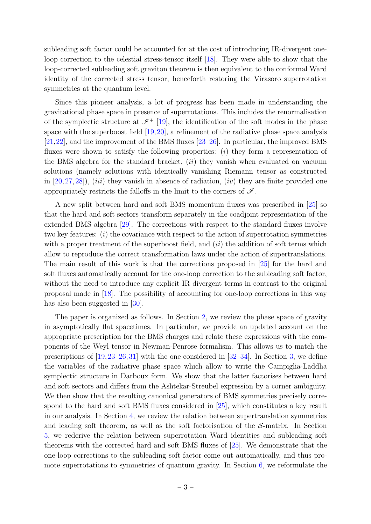subleading soft factor could be accounted for at the cost of introducing IR-divergent oneloop correction to the celestial stress-tensor itself [\[18\]](#page-22-12). They were able to show that the loop-corrected subleading soft graviton theorem is then equivalent to the conformal Ward identity of the corrected stress tensor, henceforth restoring the Virasoro superrotation symmetries at the quantum level.

Since this pioneer analysis, a lot of progress has been made in understanding the gravitational phase space in presence of superrotations. This includes the renormalisation of the symplectic structure at  $\mathscr{I}^+$  [\[19\]](#page-23-0), the identification of the soft modes in the phase space with the superboost field [\[19,](#page-23-0)[20\]](#page-23-1), a refinement of the radiative phase space analysis [\[21,](#page-23-2)[22\]](#page-23-3), and the improvement of the BMS fluxes [\[23–](#page-23-4)[26\]](#page-23-5). In particular, the improved BMS fluxes were shown to satisfy the following properties:  $(i)$  they form a representation of the BMS algebra for the standard bracket,  $(ii)$  they vanish when evaluated on vacuum solutions (namely solutions with identically vanishing Riemann tensor as constructed in  $[20, 27, 28]$  $[20, 27, 28]$  $[20, 27, 28]$  $[20, 27, 28]$ ,  $(iii)$  they vanish in absence of radiation,  $(iv)$  they are finite provided one appropriately restricts the falloffs in the limit to the corners of  $\mathscr{I}$ .

A new split between hard and soft BMS momentum fluxes was prescribed in [\[25\]](#page-23-8) so that the hard and soft sectors transform separately in the coadjoint representation of the extended BMS algebra [\[29\]](#page-23-9). The corrections with respect to the standard fluxes involve two key features:  $(i)$  the covariance with respect to the action of superrotation symmetries with a proper treatment of the superboost field, and  $(ii)$  the addition of soft terms which allow to reproduce the correct transformation laws under the action of supertranslations. The main result of this work is that the corrections proposed in [\[25\]](#page-23-8) for the hard and soft fluxes automatically account for the one-loop correction to the subleading soft factor, without the need to introduce any explicit IR divergent terms in contrast to the original proposal made in [\[18\]](#page-22-12). The possibility of accounting for one-loop corrections in this way has also been suggested in [\[30\]](#page-23-10).

The paper is organized as follows. In Section [2,](#page-3-0) we review the phase space of gravity in asymptotically flat spacetimes. In particular, we provide an updated account on the appropriate prescription for the BMS charges and relate these expressions with the components of the Weyl tensor in Newman-Penrose formalism. This allows us to match the prescriptions of [\[19,](#page-23-0)[23–](#page-23-4)[26,](#page-23-5)[31\]](#page-23-11) with the one considered in [\[32–](#page-23-12)[34\]](#page-23-13). In Section [3,](#page-7-0) we define the variables of the radiative phase space which allow to write the Campiglia-Laddha symplectic structure in Darboux form. We show that the latter factorises between hard and soft sectors and differs from the Ashtekar-Streubel expression by a corner ambiguity. We then show that the resulting canonical generators of BMS symmetries precisely correspond to the hard and soft BMS fluxes considered in [\[25\]](#page-23-8), which constitutes a key result in our analysis. In Section [4,](#page-11-0) we review the relation between supertranslation symmetries and leading soft theorem, as well as the soft factorisation of the  $S$ -matrix. In Section [5,](#page-14-0) we rederive the relation between superrotation Ward identities and subleading soft theorems with the corrected hard and soft BMS fluxes of [\[25\]](#page-23-8). We demonstrate that the one-loop corrections to the subleading soft factor come out automatically, and thus promote superrotations to symmetries of quantum gravity. In Section [6,](#page-18-0) we reformulate the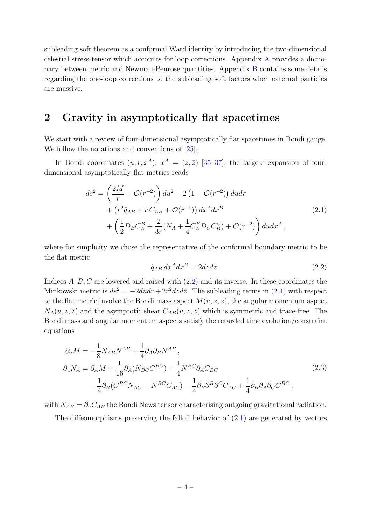subleading soft theorem as a conformal Ward identity by introducing the two-dimensional celestial stress-tensor which accounts for loop corrections. Appendix [A](#page-19-0) provides a dictionary between metric and Newman-Penrose quantities. Appendix [B](#page-20-0) contains some details regarding the one-loop corrections to the subleading soft factors when external particles are massive.

### <span id="page-3-0"></span>2 Gravity in asymptotically flat spacetimes

We start with a review of four-dimensional asymptotically flat spacetimes in Bondi gauge. We follow the notations and conventions of  $[25]$ .

In Bondi coordinates  $(u, r, x^A)$ ,  $x^A = (z, \bar{z})$  [\[35](#page-24-0)[–37\]](#page-24-1), the large-r expansion of fourdimensional asymptotically flat metrics reads

$$
ds^{2} = \left(\frac{2M}{r} + \mathcal{O}(r^{-2})\right) du^{2} - 2\left(1 + \mathcal{O}(r^{-2})\right) du dr + \left(r^{2} \mathring{q}_{AB} + r C_{AB} + \mathcal{O}(r^{-1})\right) dx^{A} dx^{B} + \left(\frac{1}{2} D_{B} C_{A}^{B} + \frac{2}{3r} (N_{A} + \frac{1}{4} C_{A}^{B} D_{C} C_{B}^{C}) + \mathcal{O}(r^{-2})\right) du dx^{A},
$$
\n(2.1)

<span id="page-3-2"></span>where for simplicity we chose the representative of the conformal boundary metric to be the flat metric

<span id="page-3-1"></span>
$$
\mathring{q}_{AB} dx^A dx^B = 2dz d\bar{z} . \tag{2.2}
$$

Indices  $A, B, C$  are lowered and raised with  $(2.2)$  and its inverse. In these coordinates the Minkowski metric is  $ds^2 = -2du dr + 2r^2 dz d\bar{z}$ . The subleading terms in [\(2.1\)](#page-3-2) with respect to the flat metric involve the Bondi mass aspect  $M(u, z, \bar{z})$ , the angular momentum aspect  $N_A(u, z, \bar{z})$  and the asymptotic shear  $C_{AB}(u, z, \bar{z})$  which is symmetric and trace-free. The Bondi mass and angular momentum aspects satisfy the retarded time evolution/constraint equations

$$
\partial_u M = -\frac{1}{8} N_{AB} N^{AB} + \frac{1}{4} \partial_A \partial_B N^{AB},
$$
  
\n
$$
\partial_u N_A = \partial_A M + \frac{1}{16} \partial_A (N_{BC} C^{BC}) - \frac{1}{4} N^{BC} \partial_A C_{BC}
$$
  
\n
$$
- \frac{1}{4} \partial_B (C^{BC} N_{AC} - N^{BC} C_{AC}) - \frac{1}{4} \partial_B \partial^B \partial^C C_{AC} + \frac{1}{4} \partial_B \partial_A \partial_C C^{BC},
$$
\n(2.3)

with  $N_{AB} = \partial_u C_{AB}$  the Bondi News tensor characterising outgoing gravitational radiation.

The diffeomorphisms preserving the falloff behavior of  $(2.1)$  are generated by vectors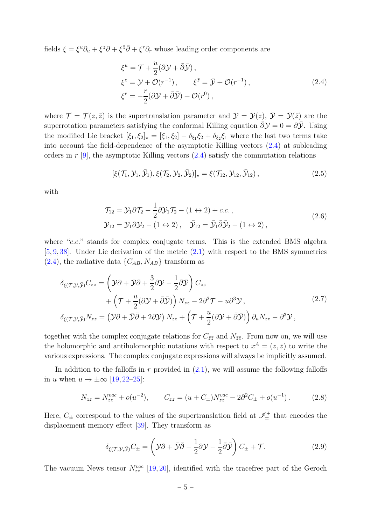<span id="page-4-0"></span>fields  $\xi = \xi^u \partial_u + \xi^z \partial + \xi^{\bar{z}} \bar{\partial} + \xi^r \partial_r$  whose leading order components are

$$
\xi^{u} = \mathcal{T} + \frac{u}{2} (\partial \mathcal{Y} + \bar{\partial} \bar{\mathcal{Y}}),
$$
  
\n
$$
\xi^{z} = \mathcal{Y} + \mathcal{O}(r^{-1}), \qquad \xi^{\bar{z}} = \bar{\mathcal{Y}} + \mathcal{O}(r^{-1}),
$$
  
\n
$$
\xi^{r} = -\frac{r}{2} (\partial \mathcal{Y} + \bar{\partial} \bar{\mathcal{Y}}) + \mathcal{O}(r^{0}),
$$
\n(2.4)

where  $\mathcal{T} = \mathcal{T}(z, \bar{z})$  is the supertranslation parameter and  $\mathcal{Y} = \mathcal{Y}(z), \bar{\mathcal{Y}} = \bar{\mathcal{Y}}(\bar{z})$  are the superrotation parameters satisfying the conformal Killing equation  $\bar{\partial}y = 0 = \partial\bar{y}$ . Using the modified Lie bracket  $[\xi_1, \xi_2]_\star = [\xi_1, \xi_2] - \delta_{\xi_1} \xi_2 + \delta_{\xi_2} \xi_1$  where the last two terms take into account the field-dependence of the asymptotic Killing vectors [\(2.4\)](#page-4-0) at subleading orders in  $r$  [\[9\]](#page-22-13), the asymptotic Killing vectors  $(2.4)$  satisfy the commutation relations

$$
[\xi(\mathcal{T}_1, \mathcal{Y}_1, \bar{\mathcal{Y}}_1), \xi(\mathcal{T}_2, \mathcal{Y}_2, \bar{\mathcal{Y}}_2)]_{\star} = \xi(\mathcal{T}_{12}, \mathcal{Y}_{12}, \bar{\mathcal{Y}}_{12}), \qquad (2.5)
$$

with

$$
\mathcal{T}_{12} = \mathcal{Y}_1 \partial \mathcal{T}_2 - \frac{1}{2} \partial \mathcal{Y}_1 \mathcal{T}_2 - (1 \leftrightarrow 2) + c.c.,
$$
  
\n
$$
\mathcal{Y}_{12} = \mathcal{Y}_1 \partial \mathcal{Y}_2 - (1 \leftrightarrow 2), \quad \bar{\mathcal{Y}}_{12} = \bar{\mathcal{Y}}_1 \bar{\partial} \bar{\mathcal{Y}}_2 - (1 \leftrightarrow 2),
$$
\n(2.6)

where "c.c." stands for complex conjugate terms. This is the extended BMS algebra [\[5,](#page-22-2) [9,](#page-22-13) [38\]](#page-24-2). Under Lie derivation of the metric [\(2.1\)](#page-3-2) with respect to the BMS symmetries  $(2.4)$ , the radiative data  $\{C_{AB}, N_{AB}\}\$ transform as

<span id="page-4-1"></span>
$$
\delta_{\xi(\mathcal{T},\mathcal{Y},\bar{\mathcal{Y}})}C_{zz} = \left(\mathcal{Y}\partial + \bar{\mathcal{Y}}\bar{\partial} + \frac{3}{2}\partial\mathcal{Y} - \frac{1}{2}\bar{\partial}\bar{\mathcal{Y}}\right)C_{zz} \n+ \left(\mathcal{T} + \frac{u}{2}(\partial\mathcal{Y} + \bar{\partial}\bar{\mathcal{Y}})\right)N_{zz} - 2\partial^2\mathcal{T} - u\partial^3\mathcal{Y}, \n\delta_{\xi(\mathcal{T},\mathcal{Y},\bar{\mathcal{Y}})}N_{zz} = \left(\mathcal{Y}\partial + \bar{\mathcal{Y}}\bar{\partial} + 2\partial\mathcal{Y}\right)N_{zz} + \left(\mathcal{T} + \frac{u}{2}(\partial\mathcal{Y} + \bar{\partial}\bar{\mathcal{Y}})\right)\partial_uN_{zz} - \partial^3\mathcal{Y},
$$
\n(2.7)

together with the complex conjugate relations for  $C_{\bar{z}\bar{z}}$  and  $N_{\bar{z}\bar{z}}$ . From now on, we will use the holomorphic and antiholomorphic notations with respect to  $x^A = (z, \bar{z})$  to write the various expressions. The complex conjugate expressions will always be implicitly assumed.

In addition to the falloffs in  $r$  provided in  $(2.1)$ , we will assume the following falloffs in u when  $u \rightarrow \pm \infty$  [\[19,](#page-23-0) [22](#page-23-3)[–25\]](#page-23-8):

<span id="page-4-3"></span>
$$
N_{zz} = N_{zz}^{vac} + o(u^{-2}), \qquad C_{zz} = (u + C_{\pm})N_{zz}^{vac} - 2\partial^2 C_{\pm} + o(u^{-1}). \tag{2.8}
$$

Here,  $C_{\pm}$  correspond to the values of the supertranslation field at  $\mathscr{I}_{\pm}^+$  that encodes the displacement memory effect [\[39\]](#page-24-3). They transform as

<span id="page-4-2"></span>
$$
\delta_{\xi(\mathcal{T}, \mathcal{Y}, \bar{\mathcal{Y}})} C_{\pm} = \left( \mathcal{Y}\partial + \bar{\mathcal{Y}}\bar{\partial} - \frac{1}{2} \partial \mathcal{Y} - \frac{1}{2} \bar{\partial} \bar{\mathcal{Y}} \right) C_{\pm} + \mathcal{T}.
$$
\n(2.9)

The vacuum News tensor  $N_{zz}^{vac}$  [\[19,](#page-23-0) [20\]](#page-23-1), identified with the tracefree part of the Geroch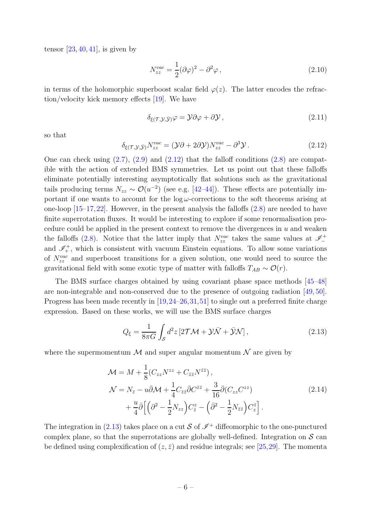tensor  $[23, 40, 41]$  $[23, 40, 41]$  $[23, 40, 41]$  $[23, 40, 41]$ , is given by

$$
N_{zz}^{vac} = \frac{1}{2} (\partial \varphi)^2 - \partial^2 \varphi , \qquad (2.10)
$$

in terms of the holomorphic superboost scalar field  $\varphi(z)$ . The latter encodes the refraction/velocity kick memory effects [\[19\]](#page-23-0). We have

$$
\delta_{\xi(\mathcal{T}, \mathcal{Y}, \bar{\mathcal{Y}})} \varphi = \mathcal{Y} \partial \varphi + \partial \mathcal{Y}, \qquad (2.11)
$$

so that

<span id="page-5-0"></span>
$$
\delta_{\xi(\mathcal{T}, \mathcal{Y}, \bar{\mathcal{Y}})} N_{zz}^{vac} = (\mathcal{Y}\partial + 2\partial \mathcal{Y}) N_{zz}^{vac} - \partial^3 \mathcal{Y} \,. \tag{2.12}
$$

One can check using  $(2.7)$ ,  $(2.9)$  and  $(2.12)$  that the falloff conditions  $(2.8)$  are compatible with the action of extended BMS symmetries. Let us point out that these falloffs eliminate potentially interesting asymptotically flat solutions such as the gravitational tails producing terms  $N_{zz} \sim \mathcal{O}(u^{-2})$  (see e.g. [\[42–](#page-24-6)[44\]](#page-24-7)). These effects are potentially important if one wants to account for the  $\log \omega$ -corrections to the soft theorems arising at one-loop [\[15](#page-22-10)[–17,](#page-22-11)[22\]](#page-23-3). However, in the present analysis the falloffs [\(2.8\)](#page-4-3) are needed to have finite superrotation fluxes. It would be interesting to explore if some renormalisation procedure could be applied in the present context to remove the divergences in  $u$  and weaken the falloffs [\(2.8\)](#page-4-3). Notice that the latter imply that  $N_{zz}^{vac}$  takes the same values at  $\mathscr{I}_-^+$ and  $\mathscr{I}^+_+$ , which is consistent with vacuum Einstein equations. To allow some variations of  $N_{zz}^{vac}$  and superboost transitions for a given solution, one would need to source the gravitational field with some exotic type of matter with falloffs  $T_{AB} \sim \mathcal{O}(r)$ .

The BMS surface charges obtained by using covariant phase space methods [\[45](#page-24-8)[–48\]](#page-24-9) are non-integrable and non-conserved due to the presence of outgoing radiation [\[49,](#page-24-10) [50\]](#page-25-0). Progress has been made recently in [\[19,](#page-23-0)[24](#page-23-14)[–26,](#page-23-5)[31,](#page-23-11)[51\]](#page-25-1) to single out a preferred finite charge expression. Based on these works, we will use the BMS surface charges

<span id="page-5-1"></span>
$$
Q_{\xi} = \frac{1}{8\pi G} \int_{\mathcal{S}} d^2 z \left[ 2\mathcal{T}\mathcal{M} + \mathcal{Y}\bar{\mathcal{N}} + \bar{\mathcal{Y}}\mathcal{N} \right],\tag{2.13}
$$

<span id="page-5-2"></span>where the supermomentum  $\mathcal M$  and super angular momentum  $\mathcal N$  are given by

$$
\mathcal{M} = M + \frac{1}{8} (C_{zz} N^{zz} + C_{\bar{z}\bar{z}} N^{\bar{z}\bar{z}}),
$$
  
\n
$$
\mathcal{N} = N_{\bar{z}} - u\bar{\partial}\mathcal{M} + \frac{1}{4} C_{\bar{z}\bar{z}} \bar{\partial} C^{\bar{z}\bar{z}} + \frac{3}{16} \bar{\partial} (C_{zz} C^{zz})
$$
  
\n
$$
+ \frac{u}{4} \bar{\partial} \Big[ \Big( \partial^2 - \frac{1}{2} N_{zz} \Big) C_{\bar{z}}^2 - \Big( \bar{\partial}^2 - \frac{1}{2} N_{\bar{z}\bar{z}} \Big) C_{z}^{\bar{z}} \Big].
$$
\n(2.14)

The integration in [\(2.13\)](#page-5-1) takes place on a cut S of  $\mathscr{I}^+$  diffeomorphic to the one-punctured complex plane, so that the superrotations are globally well-defined. Integration on  $\mathcal S$  can be defined using complexification of  $(z, \overline{z})$  and residue integrals; see [\[25,](#page-23-8)[29\]](#page-23-9). The momenta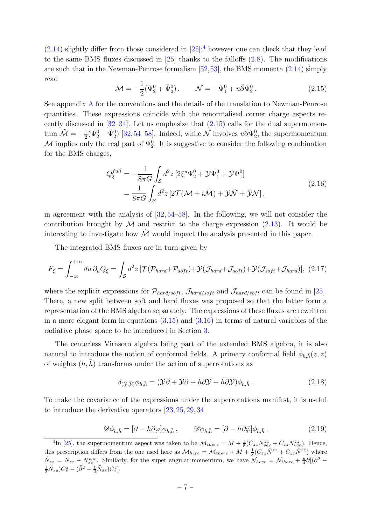$(2.14)$  slightly differ from those considered in  $[25]$ ;<sup>[4](#page-6-0)</sup> however one can check that they lead to the same BMS fluxes discussed in  $[25]$  thanks to the falloffs  $(2.8)$ . The modifications are such that in the Newman-Penrose formalism [\[52,](#page-25-2)[53\]](#page-25-3), the BMS momenta [\(2.14\)](#page-5-2) simply read

<span id="page-6-1"></span>
$$
\mathcal{M} = -\frac{1}{2} (\Psi_2^0 + \bar{\Psi}_2^0), \qquad \mathcal{N} = -\Psi_1^0 + u\bar{\partial}\Psi_2^0.
$$
 (2.15)

See appendix [A](#page-19-0) for the conventions and the details of the translation to Newman-Penrose quantities. These expressions coincide with the renormalised corner charge aspects recently discussed in  $[32-34]$  $[32-34]$ . Let us emphasize that  $(2.15)$  calls for the dual supermomentum  $\tilde{\mathcal{M}} = -\frac{1}{2}$  $\frac{1}{2}(\Psi_2^0 - \bar{\Psi}_2^0)$  [\[32,](#page-23-12)[54–](#page-25-4)[58\]](#page-25-5). Indeed, while  $\mathcal N$  involves  $u\bar{\partial}\Psi_2^0$ , the supermomentum M implies only the real part of  $\Psi_2^0$ . It is suggestive to consider the following combination for the BMS charges,

$$
Q_{\xi}^{full} = -\frac{1}{8\pi G} \int_{\mathcal{S}} d^2 z \left[ 2\xi^u \Psi_2^0 + \mathcal{Y}\bar{\Psi}_1^0 + \bar{\mathcal{Y}}\Psi_1^0 \right]
$$
  
= 
$$
\frac{1}{8\pi G} \int_{\mathcal{S}} d^2 z \left[ 2\mathcal{T}(\mathcal{M} + i\tilde{\mathcal{M}}) + \mathcal{Y}\bar{\mathcal{N}} + \bar{\mathcal{Y}}\mathcal{N} \right],
$$
(2.16)

in agreement with the analysis of [\[32,](#page-23-12) [54](#page-25-4)[–58\]](#page-25-5). In the following, we will not consider the contribution brought by  $\tilde{\mathcal{M}}$  and restrict to the charge expression [\(2.13\)](#page-5-1). It would be interesting to investigate how  $\mathcal M$  would impact the analysis presented in this paper.

The integrated BMS fluxes are in turn given by

<span id="page-6-2"></span>
$$
F_{\xi} = \int_{-\infty}^{+\infty} du \, \partial_u Q_{\xi} = \int_{\mathcal{S}} d^2 z \, [\mathcal{T}(\mathcal{P}_{hard} + \mathcal{P}_{soft}) + \mathcal{Y}(\bar{\mathcal{J}}_{hard} + \bar{\mathcal{J}}_{soft}) + \bar{\mathcal{Y}}(\mathcal{J}_{soft} + \mathcal{J}_{hard})], \tag{2.17}
$$

where the explicit expressions for  $\mathcal{P}_{hard/soft}$ ,  $\mathcal{J}_{hard/soft}$  and  $\bar{\mathcal{J}}_{hard/soft}$  can be found in [\[25\]](#page-23-8). There, a new split between soft and hard fluxes was proposed so that the latter form a representation of the BMS algebra separately. The expressions of these fluxes are rewritten in a more elegant form in equations  $(3.15)$  and  $(3.16)$  in terms of natural variables of the radiative phase space to be introduced in Section [3.](#page-7-0)

The centerless Virasoro algebra being part of the extended BMS algebra, it is also natural to introduce the notion of conformal fields. A primary conformal field  $\phi_{h,\bar{h}}(z,\bar{z})$ of weights  $(h, h)$  transforms under the action of superrotations as

<span id="page-6-3"></span>
$$
\delta_{(\mathcal{Y},\bar{\mathcal{Y}})}\phi_{h,\bar{h}} = (\mathcal{Y}\partial + \bar{\mathcal{Y}}\bar{\partial} + h\partial\mathcal{Y} + \bar{h}\bar{\partial}\bar{\mathcal{Y}})\phi_{h,\bar{h}}.
$$
\n(2.18)

To make the covariance of the expressions under the superrotations manifest, it is useful to introduce the derivative operators [\[23,](#page-23-4) [25,](#page-23-8) [29,](#page-23-9) [34\]](#page-23-13)

$$
\mathscr{D}\phi_{h,\bar{h}} = [\partial - h\partial\varphi]\phi_{h,\bar{h}}, \qquad \bar{\mathscr{D}}\phi_{h,\bar{h}} = [\bar{\partial} - \bar{h}\bar{\partial}\bar{\varphi}]\phi_{h,\bar{h}}, \qquad (2.19)
$$

<span id="page-6-0"></span><sup>&</sup>lt;sup>4</sup>In [\[25\]](#page-23-8), the supermomentum aspect was taken to be  $\mathcal{M}_{there} = M + \frac{1}{8} (C_{zz} N_{vac}^{zz} + C_{\bar{z}\bar{z}} N_{vac}^{\bar{z}\bar{z}})$ . Hence, this prescription differs from the one used here as  $\mathcal{M}_{here} = \mathcal{M}_{there} + M + \frac{1}{8} (C_{zz} \hat{N}^{zz} + C_{\bar{z}\bar{z}} \hat{N}^{\bar{z}\bar{z}})$  where  $\hat{N}_{zz} = N_{zz} - N_{zz}^{vac}$ . Similarly, for the super angular momentum, we have  $\mathcal{N}_{here} = \mathcal{N}_{there} + \frac{u}{4}\bar{\partial}[(\partial^2 - \frac{1}{2}\hat{N}_{zz})C_{\bar{z}}^z - (\bar{\partial}^2 - \frac{1}{2}\hat{N}_{\bar{z}\bar{z}})C_{\bar{z}}^{\bar{z}}].$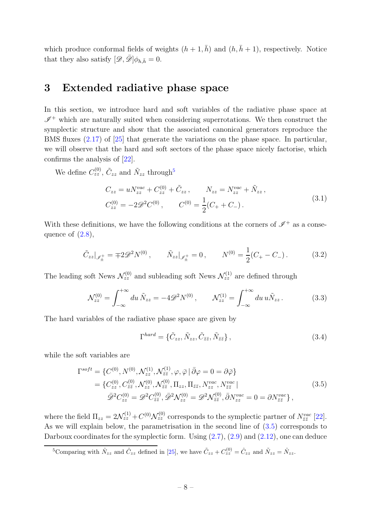which produce conformal fields of weights  $(h + 1, \bar{h})$  and  $(h, \bar{h} + 1)$ , respectively. Notice that they also satisfy  $[\mathscr{D}, \bar{\mathscr{D}}] \phi_{h,\bar{h}} = 0$ .

#### <span id="page-7-0"></span>3 Extended radiative phase space

In this section, we introduce hard and soft variables of the radiative phase space at  $\mathscr{I}^+$  which are naturally suited when considering superrotations. We then construct the symplectic structure and show that the associated canonical generators reproduce the BMS fluxes [\(2.17\)](#page-6-2) of [\[25\]](#page-23-8) that generate the variations on the phase space. In particular, we will observe that the hard and soft sectors of the phase space nicely factorise, which confirms the analysis of [\[22\]](#page-23-3).

We define  $C_{zz}^{(0)}$ ,  $\tilde{C}_{zz}$  and  $\tilde{N}_{zz}$  through<sup>[5](#page-7-1)</sup>

$$
C_{zz} = uN_{zz}^{vac} + C_{zz}^{(0)} + \tilde{C}_{zz}, \qquad N_{zz} = N_{zz}^{vac} + \tilde{N}_{zz},
$$
  
\n
$$
C_{zz}^{(0)} = -2\mathcal{D}^2 C^{(0)}, \qquad C^{(0)} = \frac{1}{2}(C_+ + C_-).
$$
\n(3.1)

<span id="page-7-3"></span>With these definitions, we have the following conditions at the corners of  $\mathscr{I}^+$  as a consequence of  $(2.8)$ ,

$$
\tilde{C}_{zz}|_{\mathcal{J}_{\pm}^{+}} = \mp 2\mathcal{D}^{2} N^{(0)}, \qquad \tilde{N}_{zz}|_{\mathcal{J}_{\pm}^{+}} = 0, \qquad N^{(0)} = \frac{1}{2}(C_{+} - C_{-}). \tag{3.2}
$$

<span id="page-7-5"></span>The leading soft News  $\mathcal{N}_{zz}^{(0)}$  and subleading soft News  $\mathcal{N}_{zz}^{(1)}$  are defined through

<span id="page-7-4"></span>
$$
\mathcal{N}_{zz}^{(0)} = \int_{-\infty}^{+\infty} du \, \tilde{N}_{zz} = -4\mathcal{D}^2 N^{(0)} \,, \qquad \mathcal{N}_{zz}^{(1)} = \int_{-\infty}^{+\infty} du \, u \tilde{N}_{zz} \,. \tag{3.3}
$$

The hard variables of the radiative phase space are given by

$$
\Gamma^{hard} = \{ \tilde{C}_{zz}, \tilde{N}_{zz}, \tilde{C}_{\bar{z}\bar{z}}, \tilde{N}_{\bar{z}\bar{z}} \},\tag{3.4}
$$

<span id="page-7-2"></span>while the soft variables are

$$
\Gamma^{soft} = \{ C^{(0)}, N^{(0)}, \mathcal{N}_{zz}^{(1)}, \mathcal{N}_{\bar{z}\bar{z}}^{(1)}, \varphi, \bar{\varphi} \, | \, \bar{\partial}\varphi = 0 = \partial\bar{\varphi} \} \n= \{ C_{zz}^{(0)}, C_{\bar{z}\bar{z}}^{(0)}, \mathcal{N}_{zz}^{(0)}, \mathcal{N}_{\bar{z}\bar{z}}^{(0)}, \Pi_{zz}, \Pi_{\bar{z}\bar{z}}, N_{zz}^{vac}, N_{\bar{z}\bar{z}}^{vac} \} \n\bar{\mathcal{D}}^2 C_{zz}^{(0)} = \mathcal{D}^2 C_{\bar{z}\bar{z}}^{(0)}, \bar{\mathcal{D}}^2 \mathcal{N}_{zz}^{(0)} = \mathcal{D}^2 \mathcal{N}_{\bar{z}\bar{z}}^{(0)}, \bar{\partial} N_{zz}^{vac} = 0 = \partial N_{\bar{z}\bar{z}}^{vac} \} ,
$$
\n(3.5)

where the field  $\Pi_{zz} = 2\mathcal{N}_{zz}^{(1)} + C^{(0)}\mathcal{N}_{zz}^{(0)}$  corresponds to the symplectic partner of  $N_{\bar{z}\bar{z}}^{vac}$  [\[22\]](#page-23-3). As we will explain below, the parametrisation in the second line of [\(3.5\)](#page-7-2) corresponds to Darboux coordinates for the symplectic form. Using  $(2.7)$ ,  $(2.9)$  and  $(2.12)$ , one can deduce

<span id="page-7-1"></span><sup>&</sup>lt;sup>5</sup>Comparing with  $\hat{N}_{zz}$  and  $\hat{C}_{zz}$  defined in [\[25\]](#page-23-8), we have  $\tilde{C}_{zz} + C_{zz}^{(0)} = \hat{C}_{zz}$  and  $\tilde{N}_{zz} = \hat{N}_{zz}$ .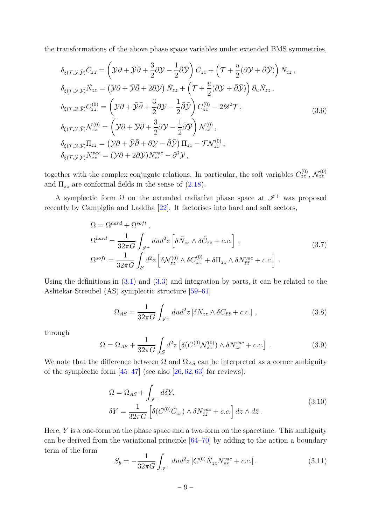the transformations of the above phase space variables under extended BMS symmetries,

<span id="page-8-1"></span>
$$
\delta_{\xi(\mathcal{T},\mathcal{Y},\bar{\mathcal{Y}})}\tilde{C}_{zz} = \left(\mathcal{Y}\partial + \bar{\mathcal{Y}}\bar{\partial} + \frac{3}{2}\partial\mathcal{Y} - \frac{1}{2}\bar{\partial}\bar{\mathcal{Y}}\right)\tilde{C}_{zz} + \left(\mathcal{T} + \frac{u}{2}(\partial\mathcal{Y} + \bar{\partial}\bar{\mathcal{Y}})\right)\tilde{N}_{zz},
$$
\n
$$
\delta_{\xi(\mathcal{T},\mathcal{Y},\bar{\mathcal{Y}})}\tilde{N}_{zz} = \left(\mathcal{Y}\partial + \bar{\mathcal{Y}}\bar{\partial} + 2\partial\mathcal{Y}\right)\tilde{N}_{zz} + \left(\mathcal{T} + \frac{u}{2}(\partial\mathcal{Y} + \bar{\partial}\bar{\mathcal{Y}})\right)\partial_u\tilde{N}_{zz},
$$
\n
$$
\delta_{\xi(\mathcal{T},\mathcal{Y},\bar{\mathcal{Y}})}C_{zz}^{(0)} = \left(\mathcal{Y}\partial + \bar{\mathcal{Y}}\bar{\partial} + \frac{3}{2}\partial\mathcal{Y} - \frac{1}{2}\bar{\partial}\bar{\mathcal{Y}}\right)C_{zz}^{(0)} - 2\mathcal{D}^2\mathcal{T},
$$
\n
$$
\delta_{\xi(\mathcal{T},\mathcal{Y},\bar{\mathcal{Y}})}\mathcal{N}_{zz}^{(0)} = \left(\mathcal{Y}\partial + \bar{\mathcal{Y}}\bar{\partial} + \frac{3}{2}\partial\mathcal{Y} - \frac{1}{2}\bar{\partial}\bar{\mathcal{Y}}\right)\mathcal{N}_{zz}^{(0)},
$$
\n
$$
\delta_{\xi(\mathcal{T},\mathcal{Y},\bar{\mathcal{Y}})}\Pi_{zz} = \left(\mathcal{Y}\partial + \bar{\mathcal{Y}}\bar{\partial} + \partial\mathcal{Y} - \bar{\partial}\bar{\mathcal{Y}}\right)\Pi_{zz} - \mathcal{T}\mathcal{N}_{zz}^{(0)},
$$
\n
$$
\delta_{\xi(\mathcal{T},\mathcal{Y},\bar{\mathcal{Y}})}\mathcal{N}_{zz}^{vac} = \left(\mathcal{Y}\partial + 2\partial\mathcal{Y}\right)\mathcal{N}_{zz}^{vac} - \partial^3\mathcal{Y},
$$
\n(3.6)

together with the complex conjugate relations. In particular, the soft variables  $C_{zz}^{(0)}$ ,  $\mathcal{N}_{zz}^{(0)}$ and  $\Pi_{zz}$  are conformal fields in the sense of [\(2.18\)](#page-6-3).

A symplectic form  $\Omega$  on the extended radiative phase space at  $\mathscr{I}^+$  was proposed recently by Campiglia and Laddha [\[22\]](#page-23-3). It factorises into hard and soft sectors,

$$
\Omega = \Omega^{hard} + \Omega^{soft},
$$
\n
$$
\Omega^{hard} = \frac{1}{32\pi G} \int_{\mathscr{I}^+} du d^2 z \left[ \delta \tilde{N}_{zz} \wedge \delta \tilde{C}_{\bar{z}\bar{z}} + c.c. \right],
$$
\n
$$
\Omega^{soft} = \frac{1}{32\pi G} \int_{\mathcal{S}} d^2 z \left[ \delta \mathcal{N}_{zz}^{(0)} \wedge \delta C_{\bar{z}\bar{z}}^{(0)} + \delta \Pi_{zz} \wedge \delta N_{\bar{z}\bar{z}}^{vac} + c.c. \right].
$$
\n(3.7)

<span id="page-8-0"></span>Using the definitions in  $(3.1)$  and  $(3.3)$  and integration by parts, it can be related to the Ashtekar-Streubel (AS) symplectic structure [\[59–](#page-25-6)[61\]](#page-25-7)

$$
\Omega_{AS} = \frac{1}{32\pi G} \int_{\mathscr{I}^+} du d^2 z \left[ \delta N_{zz} \wedge \delta C_{\bar{z}\bar{z}} + c.c. \right] ,\qquad (3.8)
$$

through

$$
\Omega = \Omega_{AS} + \frac{1}{32\pi G} \int_{\mathcal{S}} d^2 z \left[ \delta(C^{(0)} \mathcal{N}_{zz}^{(0)}) \wedge \delta N_{\bar{z}\bar{z}}^{vac} + c.c. \right] . \tag{3.9}
$$

We note that the difference between  $\Omega$  and  $\Omega_{AS}$  can be interpreted as a corner ambiguity of the symplectic form  $[45-47]$  (see also  $[26, 62, 63]$  $[26, 62, 63]$  $[26, 62, 63]$  $[26, 62, 63]$  for reviews):

$$
\Omega = \Omega_{AS} + \int_{\mathscr{I}^+} d\delta Y,
$$
  
\n
$$
\delta Y = \frac{1}{32\pi G} \left[ \delta(C^{(0)}\tilde{C}_{zz}) \wedge \delta N_{\bar{z}\bar{z}}^{vac} + c.c. \right] dz \wedge d\bar{z}.
$$
\n(3.10)

Here,  $Y$  is a one-form on the phase space and a two-form on the spacetime. This ambiguity can be derived from the variational principle [\[64–](#page-25-10)[70\]](#page-26-0) by adding to the action a boundary term of the form

$$
S_b = -\frac{1}{32\pi G} \int_{\mathscr{I}^+} du d^2 z \left[ C^{(0)} \tilde{N}_{zz} N_{\bar{z}\bar{z}}^{vac} + c.c. \right]. \tag{3.11}
$$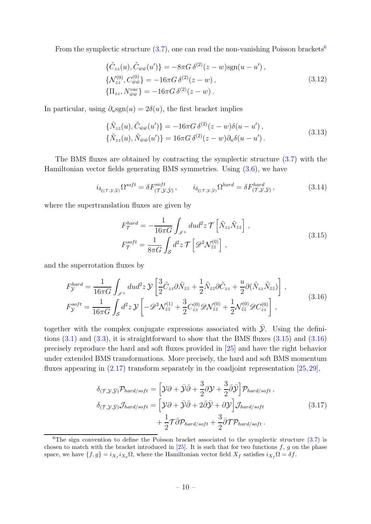From the symplectic structure  $(3.7)$ , one can read the non-vanishing Poisson brackets<sup>[6](#page-9-2)</sup>

$$
\{\tilde{C}_{zz}(u), \tilde{C}_{\bar{w}\bar{w}}(u')\} = -8\pi G \,\delta^{(2)}(z - w) \text{sgn}(u - u'),\{\mathcal{N}_{zz}^{(0)}, C_{\bar{w}\bar{w}}^{(0)}\} = -16\pi G \,\delta^{(2)}(z - w),\{\Pi_{zz}, N_{\bar{w}\bar{w}}^{vac}\} = -16\pi G \,\delta^{(2)}(z - w).
$$
\n(3.12)

In particular, using  $\partial_u \text{sgn}(u) = 2\delta(u)$ , the first bracket implies

$$
\{\tilde{N}_{zz}(u), \tilde{C}_{\bar{w}\bar{w}}(u')\} = -16\pi G \,\delta^{(2)}(z-w)\delta(u-u')\,,
$$
\n
$$
\{\tilde{N}_{zz}(u), \tilde{N}_{\bar{w}\bar{w}}(u')\} = 16\pi G \,\delta^{(2)}(z-w)\partial_u\delta(u-u')\,.
$$
\n(3.13)

The BMS fluxes are obtained by contracting the symplectic structure [\(3.7\)](#page-8-0) with the Hamiltonian vector fields generating BMS symmetries. Using [\(3.6\)](#page-8-1), we have

$$
i_{\delta_{\xi(\mathcal{T},\mathcal{Y},\bar{\mathcal{Y}})}}\Omega^{soft} = \delta F^{soft}_{(\mathcal{T},\mathcal{Y},\bar{\mathcal{Y}})}, \qquad i_{\delta_{\xi(\mathcal{T},\mathcal{Y},\bar{\mathcal{Y}})}}\Omega^{hard} = \delta F^{hard}_{(\mathcal{T},\mathcal{Y},\bar{\mathcal{Y}})}, \qquad (3.14)
$$

<span id="page-9-0"></span>where the supertranslation fluxes are given by

$$
F_{\mathcal{T}}^{hard} = -\frac{1}{16\pi G} \int_{\mathcal{I}^+} du d^2 z \, \mathcal{T} \left[ \tilde{N}_{zz} \tilde{N}_{\bar{z}\bar{z}} \right] \,,
$$
  
\n
$$
F_{\mathcal{T}}^{soft} = \frac{1}{8\pi G} \int_{\mathcal{S}} d^2 z \, \mathcal{T} \left[ \mathcal{D}^2 \mathcal{N}_{\bar{z}\bar{z}}^{(0)} \right] \,,
$$
\n(3.15)

and the superrotation fluxes by

<span id="page-9-1"></span>
$$
F_{\mathcal{Y}}^{hard} = \frac{1}{16\pi G} \int_{\mathcal{I}^+} du d^2 z \, \mathcal{Y} \left[ \frac{3}{2} \tilde{C}_{zz} \partial \tilde{N}_{\bar{z}\bar{z}} + \frac{1}{2} \tilde{N}_{\bar{z}\bar{z}} \partial \tilde{C}_{zz} + \frac{u}{2} \partial (\tilde{N}_{zz} \tilde{N}_{\bar{z}\bar{z}}) \right],
$$
  
\n
$$
F_{\mathcal{Y}}^{soft} = \frac{1}{16\pi G} \int_{\mathcal{S}} d^2 z \, \mathcal{Y} \left[ -\mathcal{D}^3 \mathcal{N}_{\bar{z}\bar{z}}^{(1)} + \frac{3}{2} C_{zz}^{(0)} \mathcal{D} \mathcal{N}_{\bar{z}\bar{z}}^{(0)} + \frac{1}{2} \mathcal{N}_{\bar{z}\bar{z}}^{(0)} \mathcal{D} C_{zz}^{(0)} \right],
$$
\n(3.16)

together with the complex conjugate expressions associated with  $\mathcal{Y}$ . Using the definitions  $(3.1)$  and  $(3.3)$ , it is straightforward to show that the BMS fluxes  $(3.15)$  and  $(3.16)$ precisely reproduce the hard and soft fluxes provided in [\[25\]](#page-23-8) and have the right behavior under extended BMS transformations. More precisely, the hard and soft BMS momentum fluxes appearing in  $(2.17)$  transform separately in the coadjoint representation  $[25, 29]$  $[25, 29]$ ,

<span id="page-9-3"></span>
$$
\delta_{(\mathcal{T}, \mathcal{Y}, \bar{\mathcal{Y}})} \mathcal{P}_{hard/soft} = \left[ \mathcal{Y}\partial + \bar{\mathcal{Y}}\bar{\partial} + \frac{3}{2}\partial \mathcal{Y} + \frac{3}{2}\bar{\partial}\bar{\mathcal{Y}} \right] \mathcal{P}_{hard/soft} ,
$$
\n
$$
\delta_{(\mathcal{T}, \mathcal{Y}, \bar{\mathcal{Y}})} \mathcal{J}_{hard/soft} = \left[ \mathcal{Y}\partial + \bar{\mathcal{Y}}\bar{\partial} + 2\bar{\partial}\bar{\mathcal{Y}} + \partial \mathcal{Y} \right] \mathcal{J}_{hard/soft} + \frac{1}{2} \mathcal{T} \bar{\partial} \mathcal{P}_{hard/soft} + \frac{3}{2} \bar{\partial} \mathcal{T} \mathcal{P}_{hard/soft} .
$$
\n(3.17)

<span id="page-9-2"></span><sup>&</sup>lt;sup>6</sup>The sign convention to define the Poisson bracket associated to the symplectic structure  $(3.7)$  is chosen to match with the bracket introduced in  $[25]$ . It is such that for two functions f, g on the phase space, we have  $\{f,g\} = i_{X_f} i_{X_g} \Omega$ , where the Hamiltonian vector field  $X_f$  satisfies  $i_{X_f} \Omega = \delta f$ .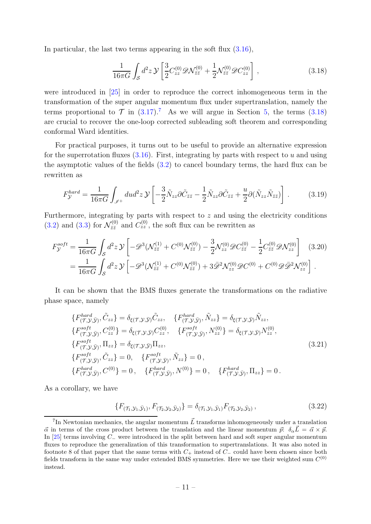In particular, the last two terms appearing in the soft flux  $(3.16)$ ,

<span id="page-10-1"></span>
$$
\frac{1}{16\pi G} \int_{\mathcal{S}} d^2 z \, \mathcal{Y} \left[ \frac{3}{2} C_{zz}^{(0)} \mathscr{D} \mathcal{N}_{\bar{z}\bar{z}}^{(0)} + \frac{1}{2} \mathcal{N}_{\bar{z}\bar{z}}^{(0)} \mathscr{D} C_{zz}^{(0)} \right] \,, \tag{3.18}
$$

were introduced in [\[25\]](#page-23-8) in order to reproduce the correct inhomogeneous term in the transformation of the super angular momentum flux under supertranslation, namely the terms proportional to  $\mathcal T$  in  $(3.17)^7$  $(3.17)^7$  $(3.17)^7$ . As we will argue in Section [5,](#page-14-0) the terms  $(3.18)$ are crucial to recover the one-loop corrected subleading soft theorem and corresponding conformal Ward identities.

For practical purposes, it turns out to be useful to provide an alternative expression for the superrotation fluxes  $(3.16)$ . First, integrating by parts with respect to u and using the asymptotic values of the fields  $(3.2)$  to cancel boundary terms, the hard flux can be rewritten as

$$
F_{\mathcal{Y}}^{hard} = \frac{1}{16\pi G} \int_{\mathcal{I}^+} du d^2 z \, \mathcal{Y} \left[ -\frac{3}{2} \tilde{N}_{zz} \partial \tilde{C}_{\bar{z}\bar{z}} - \frac{1}{2} \tilde{N}_{zz} \partial \tilde{C}_{\bar{z}\bar{z}} + \frac{u}{2} \partial (\tilde{N}_{zz} \tilde{N}_{\bar{z}\bar{z}}) \right] \,. \tag{3.19}
$$

Furthermore, integrating by parts with respect to z and using the electricity conditions [\(3.2\)](#page-7-5) and [\(3.3\)](#page-7-4) for  $\mathcal{N}^{(0)}_{\bar{z}\bar{z}}$  and  $C^{(0)}_{zz}$ , the soft flux can be rewritten as

$$
F_{\mathcal{Y}}^{soft} = \frac{1}{16\pi G} \int_{\mathcal{S}} d^2 z \, \mathcal{Y} \left[ -\mathcal{D}^3 (\mathcal{N}_{\bar{z}\bar{z}}^{(1)} + C^{(0)} \mathcal{N}_{\bar{z}\bar{z}}^{(0)}) - \frac{3}{2} \mathcal{N}_{zz}^{(0)} \mathcal{D} C_{\bar{z}\bar{z}}^{(0)} - \frac{1}{2} C_{\bar{z}\bar{z}}^{(0)} \mathcal{D} \mathcal{N}_{zz}^{(0)} \right] \tag{3.20}
$$
  
= 
$$
\frac{1}{16\pi G} \int_{\mathcal{S}} d^2 z \, \mathcal{Y} \left[ -\mathcal{D}^3 (\mathcal{N}_{\bar{z}\bar{z}}^{(1)} + C^{(0)} \mathcal{N}_{\bar{z}\bar{z}}^{(0)}) + 3 \bar{\mathcal{D}}^2 \mathcal{N}_{zz}^{(0)} \mathcal{D} C^{(0)} + C^{(0)} \mathcal{D} \bar{\mathcal{D}}^2 \mathcal{N}_{zz}^{(0)} \right] .
$$

It can be shown that the BMS fluxes generate the transformations on the radiative phase space, namely

<span id="page-10-2"></span>
$$
\{F_{(\mathcal{T},\mathcal{Y},\bar{\mathcal{Y}})}^{hard}, \tilde{C}_{zz}\} = \delta_{\xi(\mathcal{T},\mathcal{Y},\bar{\mathcal{Y}})} \tilde{C}_{zz}, \quad \{F_{(\mathcal{T},\mathcal{Y},\bar{\mathcal{Y}})}^{hard}, \tilde{N}_{zz}\} = \delta_{\xi(\mathcal{T},\mathcal{Y},\bar{\mathcal{Y}})} \tilde{N}_{zz},
$$
\n
$$
\{F_{(\mathcal{T},\mathcal{Y},\bar{\mathcal{Y}})}^{soft}, C_{zz}^{(0)}\} = \delta_{\xi(\mathcal{T},\mathcal{Y},\bar{\mathcal{Y}})} C_{zz}^{(0)}, \quad \{F_{(\mathcal{T},\mathcal{Y},\bar{\mathcal{Y}})}^{soft}, N_{zz}^{(0)}\} = \delta_{\xi(\mathcal{T},\mathcal{Y},\bar{\mathcal{Y}})} N_{zz}^{(0)},
$$
\n
$$
\{F_{(\mathcal{T},\mathcal{Y},\bar{\mathcal{Y}})}^{soft}, \Pi_{zz}\} = \delta_{\xi(\mathcal{T},\mathcal{Y},\bar{\mathcal{Y}})} \Pi_{zz},
$$
\n
$$
\{F_{(\mathcal{T},\mathcal{Y},\bar{\mathcal{Y}})}^{soft}, \tilde{C}_{zz}\} = 0, \quad \{F_{(\mathcal{T},\mathcal{Y},\bar{\mathcal{Y}})}^{soft}, \tilde{N}_{zz}\} = 0,
$$
\n
$$
\{F_{(\mathcal{T},\mathcal{Y},\bar{\mathcal{Y}})}^{hard}, C^{(0)}\} = 0, \quad \{F_{(\mathcal{T},\mathcal{Y},\bar{\mathcal{Y}})}^{hard}, N^{(0)}\} = 0, \quad \{F_{(\mathcal{T},\mathcal{Y},\bar{\mathcal{Y}})}^{hard}, \Pi_{zz}\} = 0.
$$
\n(3.21)

As a corollary, we have

$$
\{F_{(\mathcal{T}_1,\mathcal{Y}_1,\bar{\mathcal{Y}}_1)}, F_{(\mathcal{T}_2,\mathcal{Y}_2,\bar{\mathcal{Y}}_2)}\} = \delta_{(\mathcal{T}_1,\mathcal{Y}_1,\bar{\mathcal{Y}}_1)} F_{(\mathcal{T}_2,\mathcal{Y}_2,\bar{\mathcal{Y}}_2)}\,,\tag{3.22}
$$

<span id="page-10-0"></span><sup>&</sup>lt;sup>7</sup>In Newtonian mechanics, the angular momentum  $\vec{L}$  transforms inhomogeneously under a translation  $\vec{\alpha}$  in terms of the cross product between the translation and the linear momentum  $\vec{p}: \delta_{\alpha}\vec{L} = \vec{\alpha} \times \vec{p}$ . In [\[25\]](#page-23-8) terms involving C<sup>−</sup> were introduced in the split between hard and soft super angular momentum fluxes to reproduce the generalization of this transformation to supertranslations. It was also noted in footnote 8 of that paper that the same terms with  $C_+$  instead of  $C_-\$  could have been chosen since both fields transform in the same way under extended BMS symmetries. Here we use their weighted sum  $C^{(0)}$ instead.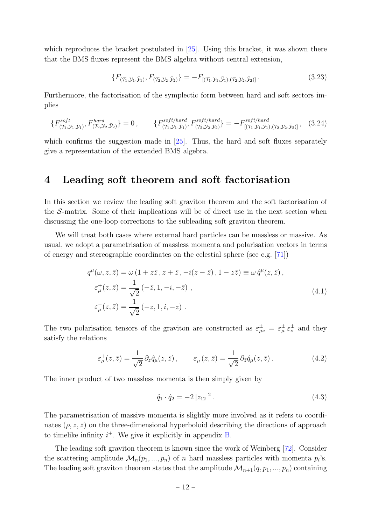which reproduces the bracket postulated in [\[25\]](#page-23-8). Using this bracket, it was shown there that the BMS fluxes represent the BMS algebra without central extension,

$$
\{F_{(\mathcal{T}_1,\mathcal{Y}_1,\bar{\mathcal{Y}}_1)}, F_{(\mathcal{T}_2,\mathcal{Y}_2,\bar{\mathcal{Y}}_2)}\} = -F_{[(\mathcal{T}_1,\mathcal{Y}_1,\bar{\mathcal{Y}}_1),(\mathcal{T}_2,\mathcal{Y}_2,\bar{\mathcal{Y}}_2)]}\,. \tag{3.23}
$$

Furthermore, the factorisation of the symplectic form between hard and soft sectors implies

$$
\{F_{(\mathcal{T}_1,\mathcal{Y}_1,\bar{\mathcal{Y}}_1)}^{soft}, F_{(\mathcal{T}_2,\mathcal{Y}_2,\bar{\mathcal{Y}}_2)}^{hard}\} = 0, \qquad \{F_{(\mathcal{T}_1,\mathcal{Y}_1,\bar{\mathcal{Y}}_1)}^{soft/hard}, F_{(\mathcal{T}_2,\mathcal{Y}_2,\bar{\mathcal{Y}}_2)}^{soft/hard}\} = -F_{[(\mathcal{T}_1,\mathcal{Y}_1,\bar{\mathcal{Y}}_1),(\mathcal{T}_2,\mathcal{Y}_2,\bar{\mathcal{Y}}_2)]}, \quad (3.24)
$$

which confirms the suggestion made in  $[25]$ . Thus, the hard and soft fluxes separately give a representation of the extended BMS algebra.

#### <span id="page-11-0"></span>4 Leading soft theorem and soft factorisation

In this section we review the leading soft graviton theorem and the soft factorisation of the S-matrix. Some of their implications will be of direct use in the next section when discussing the one-loop corrections to the subleading soft graviton theorem.

We will treat both cases where external hard particles can be massless or massive. As usual, we adopt a parametrisation of massless momenta and polarisation vectors in terms of energy and stereographic coordinates on the celestial sphere (see e.g. [\[71\]](#page-26-1))

$$
q^{\mu}(\omega, z, \bar{z}) = \omega (1 + z\bar{z}, z + \bar{z}, -i(z - \bar{z}), 1 - z\bar{z}) \equiv \omega \hat{q}^{\mu}(z, \bar{z}),
$$
  
\n
$$
\varepsilon_{\mu}^{+}(z, \bar{z}) = \frac{1}{\sqrt{2}} (-\bar{z}, 1, -i, -\bar{z}),
$$
  
\n
$$
\varepsilon_{\mu}^{-}(z, \bar{z}) = \frac{1}{\sqrt{2}} (-z, 1, i, -z).
$$
\n(4.1)

The two polarisation tensors of the graviton are constructed as  $\varepsilon_{\mu\nu}^{\pm} = \varepsilon_{\mu}^{\pm} \varepsilon_{\nu}^{\pm}$  and they satisfy the relations

$$
\varepsilon_{\mu}^{+}(z,\bar{z}) = \frac{1}{\sqrt{2}} \,\partial_{z}\hat{q}_{\mu}(z,\bar{z})\,, \qquad \varepsilon_{\mu}^{-}(z,\bar{z}) = \frac{1}{\sqrt{2}} \,\partial_{\bar{z}}\hat{q}_{\mu}(z,\bar{z})\,. \tag{4.2}
$$

The inner product of two massless momenta is then simply given by

$$
\hat{q}_1 \cdot \hat{q}_2 = -2 \left| z_{12} \right|^2. \tag{4.3}
$$

The parametrisation of massive momenta is slightly more involved as it refers to coordinates  $(\rho, z, \bar{z})$  on the three-dimensional hyperboloid describing the directions of approach to timelike infinity  $i^+$ . We give it explicitly in appendix [B.](#page-20-0)

The leading soft graviton theorem is known since the work of Weinberg [\[72\]](#page-26-2). Consider the scattering amplitude  $\mathcal{M}_n(p_1, ..., p_n)$  of n hard massless particles with momenta  $p_i$ 's. The leading soft graviton theorem states that the amplitude  $\mathcal{M}_{n+1}(q, p_1, ..., p_n)$  containing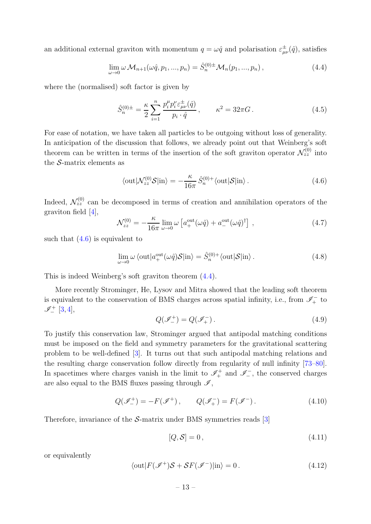an additional external graviton with momentum  $q = \omega \hat{q}$  and polarisation  $\varepsilon^{\pm}_{\mu\nu}(\hat{q})$ , satisfies

<span id="page-12-1"></span>
$$
\lim_{\omega \to 0} \omega \mathcal{M}_{n+1}(\omega \hat{q}, p_1, ..., p_n) = \hat{S}_n^{(0)\pm} \mathcal{M}_n(p_1, ..., p_n),
$$
\n(4.4)

where the (normalised) soft factor is given by

<span id="page-12-3"></span>
$$
\hat{S}_n^{(0)\pm} = \frac{\kappa}{2} \sum_{i=1}^n \frac{p_i^{\mu} p_i^{\nu} \varepsilon_{\mu\nu}^{\pm}(\hat{q})}{p_i \cdot \hat{q}}, \qquad \kappa^2 = 32\pi G. \tag{4.5}
$$

For ease of notation, we have taken all particles to be outgoing without loss of generality. In anticipation of the discussion that follows, we already point out that Weinberg's soft theorem can be written in terms of the insertion of the soft graviton operator  $\mathcal{N}_{zz}^{(0)}$  into the  $S$ -matrix elements as

<span id="page-12-0"></span>
$$
\langle \text{out} | \mathcal{N}_{zz}^{(0)} \mathcal{S} | \text{in} \rangle = -\frac{\kappa}{16\pi} \hat{S}_n^{(0)+} \langle \text{out} | \mathcal{S} | \text{in} \rangle. \tag{4.6}
$$

Indeed,  $\mathcal{N}_{zz}^{(0)}$  can be decomposed in terms of creation and annihilation operators of the graviton field [\[4\]](#page-22-1),

<span id="page-12-2"></span>
$$
\mathcal{N}_{zz}^{(0)} = -\frac{\kappa}{16\pi} \lim_{\omega \to 0} \omega \left[ a_+^{\text{out}}(\omega \hat{q}) + a_-^{\text{out}}(\omega \hat{q})^\dagger \right] , \qquad (4.7)
$$

such that  $(4.6)$  is equivalent to

$$
\lim_{\omega \to 0} \omega \langle \text{out} | a_{+}^{\text{out}}(\omega \hat{q}) \mathcal{S} | \text{in} \rangle = \hat{S}_{n}^{(0)+} \langle \text{out} | \mathcal{S} | \text{in} \rangle. \tag{4.8}
$$

This is indeed Weinberg's soft graviton theorem [\(4.4\)](#page-12-1).

More recently Strominger, He, Lysov and Mitra showed that the leading soft theorem is equivalent to the conservation of BMS charges across spatial infinity, i.e., from  $\mathscr{I}^-_+$  to  $\mathscr{I}^+_-$  [\[3,](#page-22-0)[4\]](#page-22-1),

$$
Q(\mathscr{I}_{-}^{+}) = Q(\mathscr{I}_{+}^{-}) \,. \tag{4.9}
$$

To justify this conservation law, Strominger argued that antipodal matching conditions must be imposed on the field and symmetry parameters for the gravitational scattering problem to be well-defined [\[3\]](#page-22-0). It turns out that such antipodal matching relations and the resulting charge conservation follow directly from regularity of null infinity [\[73](#page-26-3)[–80\]](#page-26-4). In spacetimes where charges vanish in the limit to  $\mathscr{I}_{+}^{+}$  and  $\mathscr{I}_{-}^{-}$ , the conserved charges are also equal to the BMS fluxes passing through  $\mathcal{I}$ ,

$$
Q(\mathscr{I}_{-}^{+}) = -F(\mathscr{I}^{+}), \qquad Q(\mathscr{I}_{+}^{-}) = F(\mathscr{I}^{-}). \qquad (4.10)
$$

Therefore, invariance of the S-matrix under BMS symmetries reads [\[3\]](#page-22-0)

$$
[Q, S] = 0, \tag{4.11}
$$

or equivalently

$$
\langle \text{out} | F(\mathcal{I}^+) \mathcal{S} + \mathcal{S} F(\mathcal{I}^-) | \text{in} \rangle = 0. \tag{4.12}
$$

– 13 –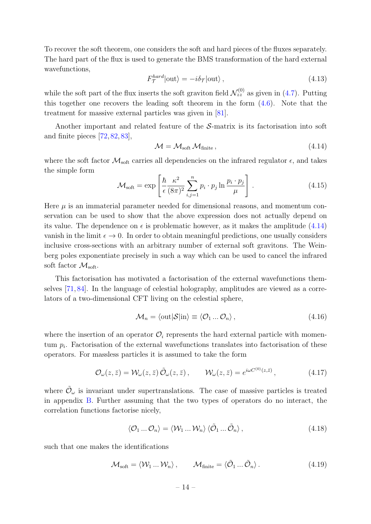To recover the soft theorem, one considers the soft and hard pieces of the fluxes separately. The hard part of the flux is used to generate the BMS transformation of the hard external wavefunctions,

$$
F_{\mathcal{T}}^{hard}|\text{out}\rangle = -i\delta_{\mathcal{T}}|\text{out}\rangle\,,\tag{4.13}
$$

while the soft part of the flux inserts the soft graviton field  $\mathcal{N}_{zz}^{(0)}$  as given in [\(4.7\)](#page-12-2). Putting this together one recovers the leading soft theorem in the form [\(4.6\)](#page-12-0). Note that the treatment for massive external particles was given in [\[81\]](#page-26-5).

Another important and related feature of the S-matrix is its factorisation into soft and finite pieces [\[72,](#page-26-2) [82,](#page-27-0) [83\]](#page-27-1),

<span id="page-13-0"></span>
$$
\mathcal{M} = \mathcal{M}_{\text{soft}} \, \mathcal{M}_{\text{finite}} \,, \tag{4.14}
$$

where the soft factor  $\mathcal{M}_{\text{soft}}$  carries all dependencies on the infrared regulator  $\epsilon$ , and takes the simple form

$$
\mathcal{M}_{\text{soft}} = \exp\left[\frac{\hbar}{\epsilon} \frac{\kappa^2}{(8\pi)^2} \sum_{i,j=1}^n p_i \cdot p_j \ln \frac{p_i \cdot p_j}{\mu}\right].
$$
 (4.15)

Here  $\mu$  is an immaterial parameter needed for dimensional reasons, and momentum conservation can be used to show that the above expression does not actually depend on its value. The dependence on  $\epsilon$  is problematic however, as it makes the amplitude [\(4.14\)](#page-13-0) vanish in the limit  $\epsilon \to 0$ . In order to obtain meaningful predictions, one usually considers inclusive cross-sections with an arbitrary number of external soft gravitons. The Weinberg poles exponentiate precisely in such a way which can be used to cancel the infrared soft factor  $\mathcal{M}_{\text{soft}}$ .

This factorisation has motivated a factorisation of the external wavefunctions themselves [\[71,](#page-26-1) [84\]](#page-27-2). In the language of celestial holography, amplitudes are viewed as a correlators of a two-dimensional CFT living on the celestial sphere,

$$
\mathcal{M}_n = \langle \text{out} | \mathcal{S} | \text{in} \rangle \equiv \langle \mathcal{O}_1 ... \mathcal{O}_n \rangle, \qquad (4.16)
$$

where the insertion of an operator  $\mathcal{O}_i$  represents the hard external particle with momentum  $p_i$ . Factorisation of the external wavefunctions translates into factorisation of these operators. For massless particles it is assumed to take the form

$$
\mathcal{O}_{\omega}(z,\bar{z}) = \mathcal{W}_{\omega}(z,\bar{z})\,\tilde{\mathcal{O}}_{\omega}(z,\bar{z})\,,\qquad \mathcal{W}_{\omega}(z,\bar{z}) = e^{i\omega C^{(0)}(z,\bar{z})}\,,\tag{4.17}
$$

where  $\tilde{\mathcal{O}}_{\omega}$  is invariant under supertranslations. The case of massive particles is treated in appendix [B.](#page-20-0) Further assuming that the two types of operators do no interact, the correlation functions factorise nicely,

$$
\langle \mathcal{O}_1 \dots \mathcal{O}_n \rangle = \langle \mathcal{W}_1 \dots \mathcal{W}_n \rangle \langle \tilde{\mathcal{O}}_1 \dots \tilde{\mathcal{O}}_n \rangle, \qquad (4.18)
$$

such that one makes the identifications

$$
\mathcal{M}_{\text{soft}} = \langle \mathcal{W}_1 \dots \mathcal{W}_n \rangle, \qquad \mathcal{M}_{\text{finite}} = \langle \tilde{\mathcal{O}}_1 \dots \tilde{\mathcal{O}}_n \rangle. \tag{4.19}
$$

 $-14-$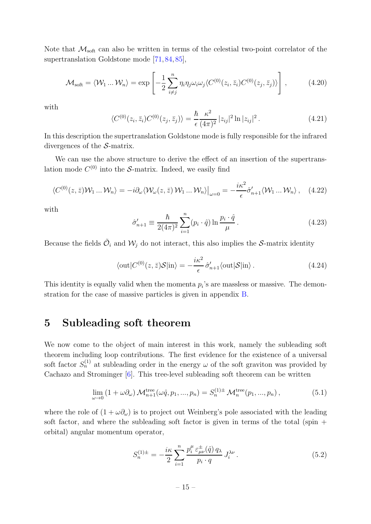Note that  $\mathcal{M}_{\text{soft}}$  can also be written in terms of the celestial two-point correlator of the supertranslation Goldstone mode [\[71,](#page-26-1) [84,](#page-27-2) [85\]](#page-27-3),

$$
\mathcal{M}_{\text{soft}} = \langle \mathcal{W}_1 \dots \mathcal{W}_n \rangle = \exp \left[ -\frac{1}{2} \sum_{i \neq j}^n \eta_i \eta_j \omega_i \omega_j \langle C^{(0)}(z_i, \bar{z}_i) C^{(0)}(z_j, \bar{z}_j) \rangle \right], \tag{4.20}
$$

with

<span id="page-14-3"></span>
$$
\langle C^{(0)}(z_i, \bar{z}_i) C^{(0)}(z_j, \bar{z}_j) \rangle = \frac{\hbar}{\epsilon} \frac{\kappa^2}{(4\pi)^2} |z_{ij}|^2 \ln |z_{ij}|^2.
$$
 (4.21)

In this description the supertranslation Goldstone mode is fully responsible for the infrared divergences of the S-matrix.

We can use the above structure to derive the effect of an insertion of the supertranslation mode  $C^{(0)}$  into the S-matrix. Indeed, we easily find

$$
\langle C^{(0)}(z,\bar{z})\mathcal{W}_1\ldots\mathcal{W}_n\rangle = -i\partial_\omega\langle \mathcal{W}_\omega(z,\bar{z})\mathcal{W}_1\ldots\mathcal{W}_n\rangle\big|_{\omega=0} = -\frac{i\kappa^2}{\epsilon}\hat{\sigma}'_{n+1}\langle \mathcal{W}_1\ldots\mathcal{W}_n\rangle\,,\quad(4.22)
$$

with

$$
\hat{\sigma}'_{n+1} \equiv \frac{\hbar}{2(4\pi)^2} \sum_{i=1}^n (p_i \cdot \hat{q}) \ln \frac{p_i \cdot \hat{q}}{\mu}.
$$
\n(4.23)

Because the fields  $\tilde{\mathcal{O}}_i$  and  $\mathcal{W}_j$  do not interact, this also implies the S-matrix identity

<span id="page-14-2"></span>
$$
\langle \text{out} | C^{(0)}(z,\bar{z}) \mathcal{S} | \text{in} \rangle = -\frac{i\kappa^2}{\epsilon} \hat{\sigma}'_{n+1} \langle \text{out} | \mathcal{S} | \text{in} \rangle. \tag{4.24}
$$

This identity is equally valid when the momenta  $p_i$ 's are massless or massive. The demonstration for the case of massive particles is given in appendix [B.](#page-20-0)

#### <span id="page-14-0"></span>5 Subleading soft theorem

We now come to the object of main interest in this work, namely the subleading soft theorem including loop contributions. The first evidence for the existence of a universal soft factor  $S_n^{(1)}$  at subleading order in the energy  $\omega$  of the soft graviton was provided by Cachazo and Strominger [\[6\]](#page-22-14). This tree-level subleading soft theorem can be written

<span id="page-14-1"></span>
$$
\lim_{\omega \to 0} (1 + \omega \partial_{\omega}) \mathcal{M}_{n+1}^{\text{tree}}(\omega \hat{q}, p_1, ..., p_n) = S_n^{(1) \pm} \mathcal{M}_n^{\text{tree}}(p_1, ..., p_n), \tag{5.1}
$$

where the role of  $(1 + \omega \partial_{\omega})$  is to project out Weinberg's pole associated with the leading soft factor, and where the subleading soft factor is given in terms of the total (spin  $+$ orbital) angular momentum operator,

$$
S_n^{(1)\pm} = -\frac{i\kappa}{2} \sum_{i=1}^n \frac{p_i^{\mu} \varepsilon_{\mu\nu}^{\pm}(\hat{q}) q_{\lambda}}{p_i \cdot q} J_i^{\lambda\nu} \,. \tag{5.2}
$$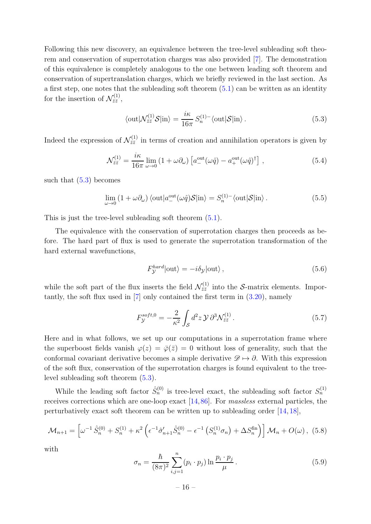Following this new discovery, an equivalence between the tree-level subleading soft theorem and conservation of superrotation charges was also provided [\[7\]](#page-22-3). The demonstration of this equivalence is completely analogous to the one between leading soft theorem and conservation of supertranslation charges, which we briefly reviewed in the last section. As a first step, one notes that the subleading soft theorem  $(5.1)$  can be written as an identity for the insertion of  $\mathcal{N}_{\bar{z}\bar{z}}^{(1)}$  $\frac{1}{\bar{z}\bar{z}}$ ,

<span id="page-15-0"></span>
$$
\langle \text{out} | \mathcal{N}_{\bar{z}\bar{z}}^{(1)} \mathcal{S} | \text{in} \rangle = \frac{i\kappa}{16\pi} S_n^{(1)-} \langle \text{out} | \mathcal{S} | \text{in} \rangle. \tag{5.3}
$$

Indeed the expression of  $\mathcal{N}^{(1)}_{\bar{z}\bar{z}}$  $\vec{z}_{\bar{z}}^{(1)}$  in terms of creation and annihilation operators is given by

$$
\mathcal{N}^{(1)}_{\bar{z}\bar{z}} = \frac{i\kappa}{16\pi} \lim_{\omega \to 0} \left( 1 + \omega \partial_{\omega} \right) \left[ a^{\text{out}}_{-}(\omega \hat{q}) - a^{\text{out}}_{+}(\omega \hat{q})^{\dagger} \right] , \qquad (5.4)
$$

such that  $(5.3)$  becomes

$$
\lim_{\omega \to 0} (1 + \omega \partial_{\omega}) \langle \text{out} | a_{-}^{\text{out}}(\omega \hat{q}) \mathcal{S} | \text{in} \rangle = S_n^{(1)-} \langle \text{out} | \mathcal{S} | \text{in} \rangle. \tag{5.5}
$$

This is just the tree-level subleading soft theorem [\(5.1\)](#page-14-1).

The equivalence with the conservation of superrotation charges then proceeds as before. The hard part of flux is used to generate the superrotation transformation of the hard external wavefunctions,

$$
F_{\mathcal{Y}}^{hard}|\text{out}\rangle = -i\delta_{\mathcal{Y}}|\text{out}\rangle ,\qquad(5.6)
$$

while the soft part of the flux inserts the field  $\mathcal{N}_{\bar{z}\bar{z}}^{(1)}$  $\zeta_{\bar{z}\bar{z}}^{(1)}$  into the S-matrix elements. Importantly, the soft flux used in  $[7]$  only contained the first term in  $(3.20)$ , namely

$$
F_{\mathcal{Y}}^{soft,0} = -\frac{2}{\kappa^2} \int_{\mathcal{S}} d^2 z \, \mathcal{Y} \, \partial^3 \mathcal{N}_{\bar{z}\bar{z}}^{(1)} \,. \tag{5.7}
$$

Here and in what follows, we set up our computations in a superrotation frame where the superboost fields vanish  $\varphi(z) = \overline{\varphi}(\overline{z}) = 0$  without loss of generality, such that the conformal covariant derivative becomes a simple derivative  $\mathscr{D} \mapsto \partial$ . With this expression of the soft flux, conservation of the superrotation charges is found equivalent to the treelevel subleading soft theorem [\(5.3\)](#page-15-0).

While the leading soft factor  $\hat{S}_n^{(0)}$  is tree-level exact, the subleading soft factor  $S_n^{(1)}$ receives corrections which are one-loop exact [\[14,](#page-22-9)[86\]](#page-27-4). For *massless* external particles, the perturbatively exact soft theorem can be written up to subleading order [\[14,](#page-22-9) [18\]](#page-22-12),

<span id="page-15-1"></span>
$$
\mathcal{M}_{n+1} = \left[ \omega^{-1} \hat{S}_n^{(0)} + S_n^{(1)} + \kappa^2 \left( \epsilon^{-1} \hat{\sigma}_{n+1}' \hat{S}_n^{(0)} - \epsilon^{-1} \left( S_n^{(1)} \sigma_n \right) + \Delta S_n^{\text{fin}} \right) \right] \mathcal{M}_n + O(\omega), \tag{5.8}
$$

with

<span id="page-15-2"></span>
$$
\sigma_n = \frac{\hbar}{(8\pi)^2} \sum_{i,j=1}^n (p_i \cdot p_j) \ln \frac{p_i \cdot p_j}{\mu} \,. \tag{5.9}
$$

 $-16-$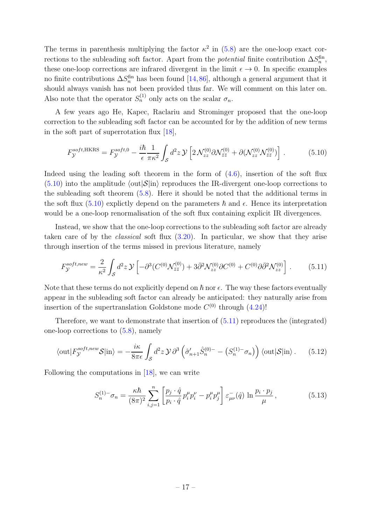The terms in parenthesis multiplying the factor  $\kappa^2$  in [\(5.8\)](#page-15-1) are the one-loop exact corrections to the subleading soft factor. Apart from the *potential* finite contribution  $\Delta S_n^{\text{fin}}$ , these one-loop corrections are infrared divergent in the limit  $\epsilon \to 0$ . In specific examples no finite contributions  $\Delta S_n^{\text{fin}}$  has been found [\[14,](#page-22-9)[86\]](#page-27-4), although a general argument that it should always vanish has not been provided thus far. We will comment on this later on. Also note that the operator  $S_n^{(1)}$  only acts on the scalar  $\sigma_n$ .

A few years ago He, Kapec, Raclariu and Strominger proposed that the one-loop correction to the subleading soft factor can be accounted for by the addition of new terms in the soft part of superrotation flux [\[18\]](#page-22-12),

<span id="page-16-0"></span>
$$
F_{\mathcal{Y}}^{soft,HKRS} = F_{\mathcal{Y}}^{soft,0} - \frac{i\hbar}{\epsilon} \frac{1}{\pi \kappa^2} \int_{\mathcal{S}} d^2 z \, \mathcal{Y} \left[ 2 \, \mathcal{N}_{zz}^{(0)} \partial \mathcal{N}_{\bar{z}\bar{z}}^{(0)} + \partial (\mathcal{N}_{zz}^{(0)} \mathcal{N}_{\bar{z}\bar{z}}^{(0)}) \right] \,. \tag{5.10}
$$

Indeed using the leading soft theorem in the form of [\(4.6\)](#page-12-0), insertion of the soft flux  $(5.10)$  into the amplitude  $\langle \text{out}|S|\text{in} \rangle$  reproduces the IR-divergent one-loop corrections to the subleading soft theorem [\(5.8\)](#page-15-1). Here it should be noted that the additional terms in the soft flux [\(5.10\)](#page-16-0) explictly depend on the parameters  $\hbar$  and  $\epsilon$ . Hence its interpretation would be a one-loop renormalisation of the soft flux containing explicit IR divergences.

Instead, we show that the one-loop corrections to the subleading soft factor are already taken care of by the *classical* soft flux [\(3.20\)](#page-10-2). In particular, we show that they arise through insertion of the terms missed in previous literature, namely

<span id="page-16-1"></span>
$$
F_{\mathcal{Y}}^{soft,new} = \frac{2}{\kappa^2} \int_{\mathcal{S}} d^2 z \, \mathcal{Y} \left[ -\partial^3 (C^{(0)} \mathcal{N}_{\bar{z}\bar{z}}^{(0)}) + 3 \bar{\partial}^2 \mathcal{N}_{zz}^{(0)} \partial C^{(0)} + C^{(0)} \partial \bar{\partial}^2 \mathcal{N}_{zz}^{(0)} \right] \,. \tag{5.11}
$$

Note that these terms do not explicitly depend on  $\hbar$  nor  $\epsilon$ . The way these factors eventually appear in the subleading soft factor can already be anticipated: they naturally arise from insertion of the supertranslation Goldstone mode  $C^{(0)}$  through  $(4.24)!$ 

Therefore, we want to demonstrate that insertion of [\(5.11\)](#page-16-1) reproduces the (integrated) one-loop corrections to [\(5.8\)](#page-15-1), namely

$$
\langle \text{out} | F_{\mathcal{Y}}^{soft,new} \mathcal{S} | \text{in} \rangle = -\frac{i\kappa}{8\pi\epsilon} \int_{\mathcal{S}} d^2 z \, \mathcal{Y} \, \partial^3 \left( \hat{\sigma}_{n+1}' \hat{S}_n^{(0)-} - \left( S_n^{(1)-} \sigma_n \right) \right) \langle \text{out} | \mathcal{S} | \text{in} \rangle \,. \tag{5.12}
$$

Following the computations in [\[18\]](#page-22-12), we can write

<span id="page-16-2"></span>
$$
S_n^{(1)-}\sigma_n = \frac{\kappa\hbar}{(8\pi)^2} \sum_{i,j=1}^n \left[ \frac{p_j \cdot \hat{q}}{p_i \cdot \hat{q}} p_i^\mu p_i^\nu - p_i^\mu p_j^\mu \right] \varepsilon_{\mu\nu}^-(\hat{q}) \ln \frac{p_i \cdot p_j}{\mu}, \qquad (5.13)
$$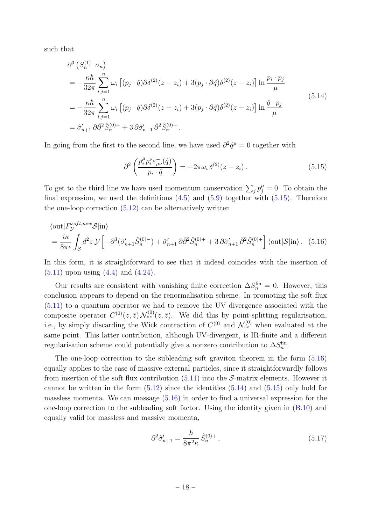such that

<span id="page-17-2"></span>
$$
\partial^3 (S_n^{(1)} - \sigma_n)
$$
\n
$$
= -\frac{\kappa \hbar}{32\pi} \sum_{i,j=1}^n \omega_i \left[ (p_j \cdot \hat{q}) \partial \delta^{(2)}(z - z_i) + 3(p_j \cdot \partial \hat{q}) \delta^{(2)}(z - z_i) \right] \ln \frac{p_i \cdot p_j}{\mu}
$$
\n
$$
= -\frac{\kappa \hbar}{32\pi} \sum_{i,j=1}^n \omega_i \left[ (p_j \cdot \hat{q}) \partial \delta^{(2)}(z - z_i) + 3(p_j \cdot \partial \hat{q}) \delta^{(2)}(z - z_i) \right] \ln \frac{\hat{q} \cdot p_j}{\mu}
$$
\n
$$
= \hat{\sigma}'_{n+1} \partial \bar{\partial}^2 \hat{S}_n^{(0)+} + 3 \partial \hat{\sigma}'_{n+1} \bar{\partial}^2 \hat{S}_n^{(0)+}.
$$
\n(5.14)

In going from the first to the second line, we have used  $\partial^2 \hat{q}^\mu = 0$  together with

<span id="page-17-1"></span><span id="page-17-0"></span>
$$
\partial^2 \left( \frac{p_i^{\mu} p_i^{\nu} \varepsilon_{\mu\nu}^{-}(\hat{q})}{p_i \cdot \hat{q}} \right) = -2\pi \omega_i \, \delta^{(2)}(z - z_i) \,. \tag{5.15}
$$

To get to the third line we have used momentum conservation  $\sum_j p_j^{\mu} = 0$ . To obtain the final expression, we used the definitions  $(4.5)$  and  $(5.9)$  together with  $(5.15)$ . Therefore the one-loop correction  $(5.12)$  can be alternatively written

$$
\langle \text{out} | F_{\mathcal{Y}}^{soft,new} \mathcal{S} | \text{in} \rangle
$$
  
=  $\frac{i\kappa}{8\pi\epsilon} \int_{\mathcal{S}} d^2 z \, \mathcal{Y} \left[ -\partial^3 (\hat{\sigma}_{n+1}' \hat{S}_n^{(0)-}) + \hat{\sigma}_{n+1}' \partial \bar{\partial}^2 \hat{S}_n^{(0)+} + 3 \partial \hat{\sigma}_{n+1}' \bar{\partial}^2 \hat{S}_n^{(0)+} \right] \langle \text{out} | \mathcal{S} | \text{in} \rangle$ . (5.16)

In this form, it is straightforward to see that it indeed coincides with the insertion of  $(5.11)$  upon using  $(4.4)$  and  $(4.24)$ .

Our results are consistent with vanishing finite correction  $\Delta S_n^{\text{fin}} = 0$ . However, this conclusion appears to depend on the renormalisation scheme. In promoting the soft flux [\(5.11\)](#page-16-1) to a quantum operator we had to remove the UV divergence associated with the composite operator  $C^{(0)}(z,\bar{z}) \mathcal{N}_{zz}^{(0)}(z,\bar{z})$ . We did this by point-splitting regularisation, i.e., by simply discarding the Wick contraction of  $C^{(0)}$  and  $\mathcal{N}_{zz}^{(0)}$  when evaluated at the same point. This latter contribution, although UV-divergent, is IR-finite and a different regularisation scheme could potentially give a nonzero contribution to  $\Delta S_n^{\text{fin}}$ .

The one-loop correction to the subleading soft graviton theorem in the form [\(5.16\)](#page-17-1) equally applies to the case of massive external particles, since it straightforwardly follows from insertion of the soft flux contribution  $(5.11)$  into the S-matrix elements. However it cannot be written in the form  $(5.12)$  since the identities  $(5.14)$  and  $(5.15)$  only hold for massless momenta. We can massage  $(5.16)$  in order to find a universal expression for the one-loop correction to the subleading soft factor. Using the identity given in  $(B.10)$  and equally valid for massless and massive momenta,

$$
\partial^2 \hat{\sigma}'_{n+1} = \frac{\hbar}{8\pi^2 \kappa} \hat{S}_n^{(0)+},\tag{5.17}
$$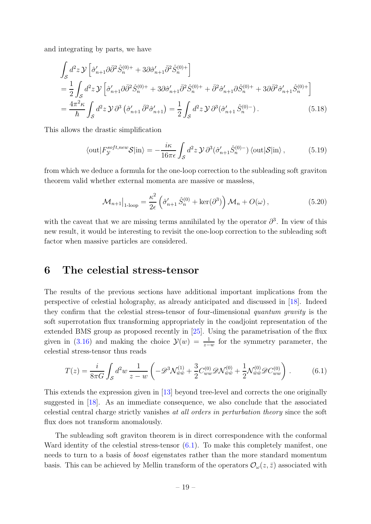and integrating by parts, we have

$$
\int_{S} d^{2}z \, \mathcal{Y} \left[ \hat{\sigma}_{n+1}^{\prime} \partial \bar{\partial}^{2} \hat{S}_{n}^{(0)+} + 3 \partial \hat{\sigma}_{n+1}^{\prime} \bar{\partial}^{2} \hat{S}_{n}^{(0)+} \right]
$$
\n
$$
= \frac{1}{2} \int_{S} d^{2}z \, \mathcal{Y} \left[ \hat{\sigma}_{n+1}^{\prime} \partial \bar{\partial}^{2} \hat{S}_{n}^{(0)+} + 3 \partial \hat{\sigma}_{n+1}^{\prime} \bar{\partial}^{2} \hat{S}_{n}^{(0)+} + \bar{\partial}^{2} \hat{\sigma}_{n+1}^{\prime} \partial \hat{S}_{n}^{(0)+} + 3 \partial \bar{\partial}^{2} \hat{\sigma}_{n+1}^{\prime} \hat{S}_{n}^{(0)+} \right]
$$
\n
$$
= \frac{4\pi^{2} \kappa}{\hbar} \int_{S} d^{2}z \, \mathcal{Y} \, \partial^{3} \left( \hat{\sigma}_{n+1}^{\prime} \, \bar{\partial}^{2} \hat{\sigma}_{n+1}^{\prime} \right) = \frac{1}{2} \int_{S} d^{2}z \, \mathcal{Y} \, \partial^{3} \left( \hat{\sigma}_{n+1}^{\prime} \, \hat{S}_{n}^{(0)-} \right). \tag{5.18}
$$

This allows the drastic simplification

$$
\langle \text{out} | F_{\mathcal{Y}}^{soft,new} \mathcal{S} | \text{in} \rangle = -\frac{i\kappa}{16\pi\epsilon} \int_{\mathcal{S}} d^2 z \, \mathcal{Y} \, \partial^3(\hat{\sigma}'_{n+1} \hat{S}_n^{(0)-}) \, \langle \text{out} | \mathcal{S} | \text{in} \rangle \,, \tag{5.19}
$$

from which we deduce a formula for the one-loop correction to the subleading soft graviton theorem valid whether external momenta are massive or massless,

$$
\mathcal{M}_{n+1}\big|_{1\text{-loop}} = \frac{\kappa^2}{2\epsilon} \left(\hat{\sigma}'_{n+1} \hat{S}_n^{(0)} + \ker(\partial^3)\right) \mathcal{M}_n + O(\omega) ,\qquad (5.20)
$$

with the caveat that we are missing terms annihilated by the operator  $\partial^3$ . In view of this new result, it would be interesting to revisit the one-loop correction to the subleading soft factor when massive particles are considered.

#### <span id="page-18-0"></span>6 The celestial stress-tensor

The results of the previous sections have additional important implications from the perspective of celestial holography, as already anticipated and discussed in [\[18\]](#page-22-12). Indeed they confirm that the celestial stress-tensor of four-dimensional *quantum gravity* is the soft superrotation flux transforming appropriately in the coadjoint representation of the extended BMS group as proposed recently in [\[25\]](#page-23-8). Using the parametrisation of the flux given in [\(3.16\)](#page-9-1) and making the choice  $\mathcal{Y}(w) = \frac{1}{z-w}$  for the symmetry parameter, the celestial stress-tensor thus reads

<span id="page-18-1"></span>
$$
T(z) = \frac{i}{8\pi G} \int_{\mathcal{S}} d^2 w \, \frac{1}{z - w} \left( -\mathcal{D}^3 \mathcal{N}_{\bar{w}\bar{w}}^{(1)} + \frac{3}{2} C_{ww}^{(0)} \mathcal{D} \mathcal{N}_{\bar{w}\bar{w}}^{(0)} + \frac{1}{2} \mathcal{N}_{\bar{w}\bar{w}}^{(0)} \mathcal{D} C_{ww}^{(0)} \right) \,. \tag{6.1}
$$

This extends the expression given in [\[13\]](#page-22-8) beyond tree-level and corrects the one originally suggested in [\[18\]](#page-22-12). As an immediate consequence, we also conclude that the associated celestial central charge strictly vanishes *at all orders in perturbation theory* since the soft flux does not transform anomalously.

The subleading soft graviton theorem is in direct correspondence with the conformal Ward identity of the celestial stress-tensor  $(6.1)$ . To make this completely manifest, one needs to turn to a basis of *boost* eigenstates rather than the more standard momentum basis. This can be achieved by Mellin transform of the operators  $\mathcal{O}_{\omega}(z,\bar{z})$  associated with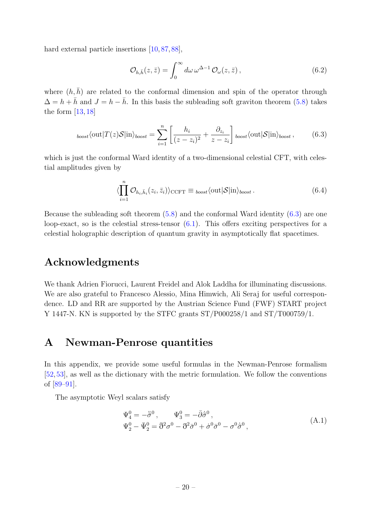hard external particle insertions [\[10,](#page-22-5) [87,](#page-27-5) [88\]](#page-27-6),

$$
\mathcal{O}_{h,\bar{h}}(z,\bar{z}) = \int_0^\infty d\omega \,\omega^{\Delta-1} \,\mathcal{O}_\omega(z,\bar{z})\,,\tag{6.2}
$$

where  $(h, \bar{h})$  are related to the conformal dimension and spin of the operator through  $\Delta = h + \bar{h}$  and  $J = h - \bar{h}$ . In this basis the subleading soft graviton theorem [\(5.8\)](#page-15-1) takes the form  $[13, 18]$  $[13, 18]$ 

<span id="page-19-1"></span>
$$
_{boost}\langle \text{out}|T(z)\mathcal{S}|\text{in}\rangle_{boost} = \sum_{i=1}^{n} \left[ \frac{h_i}{(z-z_i)^2} + \frac{\partial_{z_i}}{z-z_i} \right]_{boost}\langle \text{out}|\mathcal{S}|\text{in}\rangle_{boost},\qquad(6.3)
$$

which is just the conformal Ward identity of a two-dimensional celestial CFT, with celestial amplitudes given by

$$
\langle \prod_{i=1}^{n} \mathcal{O}_{h_i, \bar{h}_i}(z_i, \bar{z}_i) \rangle_{\text{CCFT}} \equiv_{\text{boost}} \langle \text{out} | \mathcal{S} | \text{in} \rangle_{\text{boost}}.
$$
 (6.4)

Because the subleading soft theorem  $(5.8)$  and the conformal Ward identity  $(6.3)$  are one loop-exact, so is the celestial stress-tensor  $(6.1)$ . This offers exciting perspectives for a celestial holographic description of quantum gravity in asymptotically flat spacetimes.

#### Acknowledgments

We thank Adrien Fiorucci, Laurent Freidel and Alok Laddha for illuminating discussions. We are also grateful to Francesco Alessio, Mina Himwich, Ali Seraj for useful correspondence. LD and RR are supported by the Austrian Science Fund (FWF) START project Y 1447-N. KN is supported by the STFC grants ST/P000258/1 and ST/T000759/1.

# <span id="page-19-0"></span>A Newman-Penrose quantities

In this appendix, we provide some useful formulas in the Newman-Penrose formalism [\[52,](#page-25-2)[53\]](#page-25-3), as well as the dictionary with the metric formulation. We follow the conventions of [\[89](#page-27-7)[–91\]](#page-27-8).

The asymptotic Weyl scalars satisfy

$$
\Psi_4^0 = -\ddot{\bar{\sigma}}^0, \qquad \Psi_3^0 = -\bar{\partial}\dot{\bar{\sigma}}^0, \n\Psi_2^0 - \bar{\Psi}_2^0 = \bar{\eth}^2 \sigma^0 - \bar{\sigma}^2 \bar{\sigma}^0 + \dot{\sigma}^0 \bar{\sigma}^0 - \sigma^0 \dot{\bar{\sigma}}^0,
$$
\n(A.1)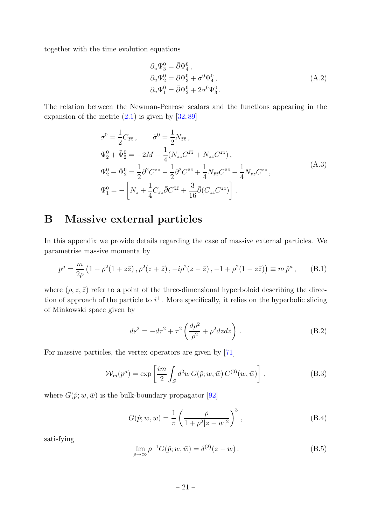together with the time evolution equations

$$
\partial_u \Psi_3^0 = \bar{\partial} \Psi_4^0,
$$
  
\n
$$
\partial_u \Psi_2^0 = \bar{\partial} \Psi_3^0 + \sigma^0 \Psi_4^0,
$$
  
\n
$$
\partial_u \Psi_1^0 = \bar{\partial} \Psi_2^0 + 2\sigma^0 \Psi_3^0.
$$
\n(A.2)

The relation between the Newman-Penrose scalars and the functions appearing in the expansion of the metric  $(2.1)$  is given by  $[32, 89]$  $[32, 89]$ 

$$
\sigma^{0} = \frac{1}{2} C_{\bar{z}\bar{z}}, \qquad \dot{\sigma}^{0} = \frac{1}{2} N_{\bar{z}\bar{z}},
$$
  
\n
$$
\Psi_{2}^{0} + \bar{\Psi}_{2}^{0} = -2M - \frac{1}{4} (N_{\bar{z}\bar{z}} C^{\bar{z}\bar{z}} + N_{zz} C^{zz}),
$$
  
\n
$$
\Psi_{2}^{0} - \bar{\Psi}_{2}^{0} = \frac{1}{2} \partial^{2} C^{zz} - \frac{1}{2} \bar{\partial}^{2} C^{\bar{z}\bar{z}} + \frac{1}{4} N_{\bar{z}\bar{z}} C^{\bar{z}\bar{z}} - \frac{1}{4} N_{zz} C^{zz},
$$
  
\n
$$
\Psi_{1}^{0} = -\left[ N_{\bar{z}} + \frac{1}{4} C_{\bar{z}\bar{z}} \bar{\partial} C^{\bar{z}\bar{z}} + \frac{3}{16} \bar{\partial} (C_{zz} C^{zz}) \right].
$$
\n(A.3)

#### <span id="page-20-0"></span>B Massive external particles

In this appendix we provide details regarding the case of massive external particles. We parametrise massive momenta by

$$
p^{\mu} = \frac{m}{2\rho} \left( 1 + \rho^2 (1 + z\bar{z}), \rho^2 (z + \bar{z}), -i \rho^2 (z - \bar{z}), -1 + \rho^2 (1 - z\bar{z}) \right) \equiv m \, \hat{p}^{\mu} \,, \qquad (B.1)
$$

where  $(\rho, z, \bar{z})$  refer to a point of the three-dimensional hyperboloid describing the direction of approach of the particle to  $i^+$ . More specifically, it relies on the hyperbolic slicing of Minkowski space given by

$$
ds^2 = -d\tau^2 + \tau^2 \left(\frac{d\rho^2}{\rho^2} + \rho^2 dz d\bar{z}\right). \tag{B.2}
$$

For massive particles, the vertex operators are given by [\[71\]](#page-26-1)

$$
\mathcal{W}_m(p^{\mu}) = \exp\left[\frac{im}{2} \int_{\mathcal{S}} d^2w \, G(\hat{p}; w, \bar{w}) \, C^{(0)}(w, \bar{w})\right],\tag{B.3}
$$

where  $G(\hat{p};w,\bar{w})$  is the bulk-boundary propagator [\[92\]](#page-27-9)

$$
G(\hat{p}; w, \bar{w}) = \frac{1}{\pi} \left( \frac{\rho}{1 + \rho^2 |z - w|^2} \right)^3,
$$
 (B.4)

satisfying

$$
\lim_{\rho \to \infty} \rho^{-1} G(\hat{p}; w, \bar{w}) = \delta^{(2)}(z - w).
$$
 (B.5)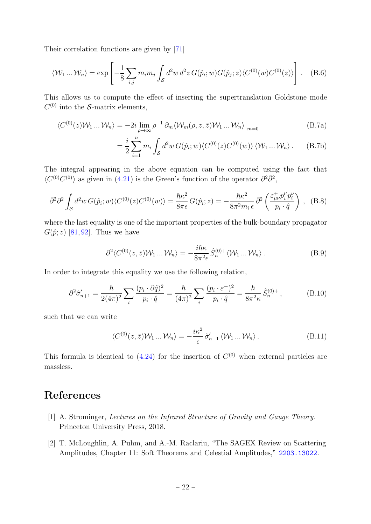Their correlation functions are given by [\[71\]](#page-26-1)

$$
\langle W_1 ... W_n \rangle = \exp \left[ -\frac{1}{8} \sum_{i,j} m_i m_j \int_{\mathcal{S}} d^2 w \, d^2 z \, G(\hat{p}_i; w) G(\hat{p}_j; z) \langle C^{(0)}(w) C^{(0)}(z) \rangle \right]. \tag{B.6}
$$

This allows us to compute the effect of inserting the supertranslation Goldstone mode  $C^{(0)}$  into the S-matrix elements,

$$
\langle C^{(0)}(z)\mathcal{W}_1 \dots \mathcal{W}_n \rangle = -2i \lim_{\rho \to \infty} \rho^{-1} \partial_m \langle \mathcal{W}_m(\rho, z, \bar{z}) \mathcal{W}_1 \dots \mathcal{W}_n \rangle \Big|_{m=0}
$$
 (B.7a)

$$
= \frac{i}{2} \sum_{i=1}^{n} m_i \int_{\mathcal{S}} d^2 w \, G(\hat{p}_i; w) \langle C^{(0)}(z) C^{(0)}(w) \rangle \langle \mathcal{W}_1 \dots \mathcal{W}_n \rangle \,. \tag{B.7b}
$$

The integral appearing in the above equation can be computed using the fact that  $\langle C^{(0)}C^{(0)}\rangle$  as given in [\(4.21\)](#page-14-3) is the Green's function of the operator  $\partial^2 \bar{\partial}^2$ ,

$$
\bar{\partial}^2 \partial^2 \int_{\mathcal{S}} d^2 w \, G(\hat{p}_i; w) \langle C^{(0)}(z) C^{(0)}(w) \rangle = \frac{\hbar \kappa^2}{8\pi \epsilon} \, G(\hat{p}_i; z) = -\frac{\hbar \kappa^2}{8\pi^2 m_i \epsilon} \, \bar{\partial}^2 \left( \frac{\varepsilon^+_{\mu\nu} p_i^\mu p_i^\nu}{p_i \cdot \hat{q}} \right) \,, \tag{B.8}
$$

where the last equality is one of the important properties of the bulk-boundary propagator  $G(\hat{p}; z)$  [\[81,](#page-26-5)[92\]](#page-27-9). Thus we have

$$
\partial^2 \langle C^{(0)}(z,\bar{z}) \mathcal{W}_1 \dots \mathcal{W}_n \rangle = -\frac{i\hbar \kappa}{8\pi^2 \epsilon} \hat{S}_n^{(0)+} \langle \mathcal{W}_1 \dots \mathcal{W}_n \rangle. \tag{B.9}
$$

In order to integrate this equality we use the following relation,

$$
\partial^2 \hat{\sigma}_{n+1}' = \frac{\hbar}{2(4\pi)^2} \sum_{i} \frac{(p_i \cdot \partial \hat{q})^2}{p_i \cdot \hat{q}} = \frac{\hbar}{(4\pi)^2} \sum_{i} \frac{(p_i \cdot \varepsilon^+)^2}{p_i \cdot \hat{q}} = \frac{\hbar}{8\pi^2 \kappa} \hat{S}_n^{(0)+},
$$
(B.10)

such that we can write

<span id="page-21-2"></span>
$$
\langle C^{(0)}(z,\bar{z})\mathcal{W}_1\ldots\mathcal{W}_n\rangle = -\frac{i\kappa^2}{\epsilon}\,\hat{\sigma}'_{n+1}\,\langle\mathcal{W}_1\ldots\mathcal{W}_n\rangle\,. \tag{B.11}
$$

This formula is identical to  $(4.24)$  for the insertion of  $C^{(0)}$  when external particles are massless.

## <span id="page-21-0"></span>References

- <span id="page-21-1"></span>[1] A. Strominger, *Lectures on the Infrared Structure of Gravity and Gauge Theory*. Princeton University Press, 2018.
- [2] T. McLoughlin, A. Puhm, and A.-M. Raclariu, "The SAGEX Review on Scattering Amplitudes, Chapter 11: Soft Theorems and Celestial Amplitudes," [2203.13022](http://www.arXiv.org/abs/2203.13022).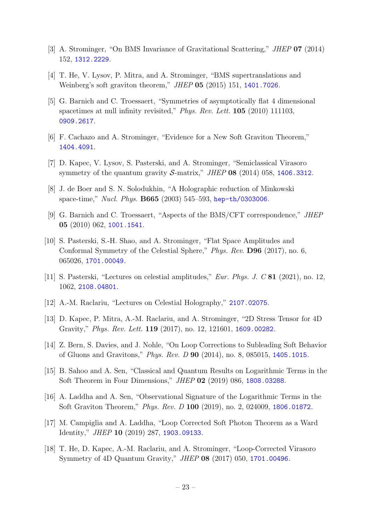- <span id="page-22-1"></span><span id="page-22-0"></span>[3] A. Strominger, "On BMS Invariance of Gravitational Scattering," *JHEP* 07 (2014) 152, [1312.2229](http://www.arXiv.org/abs/1312.2229).
- <span id="page-22-2"></span>[4] T. He, V. Lysov, P. Mitra, and A. Strominger, "BMS supertranslations and Weinberg's soft graviton theorem," *JHEP* 05 (2015) 151, [1401.7026](http://www.arXiv.org/abs/1401.7026).
- [5] G. Barnich and C. Troessaert, "Symmetries of asymptotically flat 4 dimensional spacetimes at null infinity revisited," *Phys. Rev. Lett.* 105 (2010) 111103, [0909.2617](http://www.arXiv.org/abs/0909.2617).
- <span id="page-22-14"></span><span id="page-22-3"></span>[6] F. Cachazo and A. Strominger, "Evidence for a New Soft Graviton Theorem," [1404.4091](http://www.arXiv.org/abs/1404.4091).
- <span id="page-22-4"></span>[7] D. Kapec, V. Lysov, S. Pasterski, and A. Strominger, "Semiclassical Virasoro symmetry of the quantum gravity S-matrix," *JHEP* 08 (2014) 058, [1406.3312](http://www.arXiv.org/abs/1406.3312).
- <span id="page-22-13"></span>[8] J. de Boer and S. N. Solodukhin, "A Holographic reduction of Minkowski space-time," *Nucl. Phys.* B665 (2003) 545–593, [hep-th/0303006](http://www.arXiv.org/abs/hep-th/0303006).
- <span id="page-22-5"></span>[9] G. Barnich and C. Troessaert, "Aspects of the BMS/CFT correspondence," *JHEP* 05 (2010) 062, [1001.1541](http://www.arXiv.org/abs/1001.1541).
- [10] S. Pasterski, S.-H. Shao, and A. Strominger, "Flat Space Amplitudes and Conformal Symmetry of the Celestial Sphere," *Phys. Rev.* D96 (2017), no. 6, 065026, [1701.00049](http://www.arXiv.org/abs/1701.00049).
- <span id="page-22-7"></span><span id="page-22-6"></span>[11] S. Pasterski, "Lectures on celestial amplitudes," *Eur. Phys. J. C* 81 (2021), no. 12, 1062, [2108.04801](http://www.arXiv.org/abs/2108.04801).
- <span id="page-22-8"></span>[12] A.-M. Raclariu, "Lectures on Celestial Holography," [2107.02075](http://www.arXiv.org/abs/2107.02075).
- <span id="page-22-9"></span>[13] D. Kapec, P. Mitra, A.-M. Raclariu, and A. Strominger, "2D Stress Tensor for 4D Gravity," *Phys. Rev. Lett.* 119 (2017), no. 12, 121601, [1609.00282](http://www.arXiv.org/abs/1609.00282).
- <span id="page-22-10"></span>[14] Z. Bern, S. Davies, and J. Nohle, "On Loop Corrections to Subleading Soft Behavior of Gluons and Gravitons," *Phys. Rev. D* 90 (2014), no. 8, 085015, [1405.1015](http://www.arXiv.org/abs/1405.1015).
- [15] B. Sahoo and A. Sen, "Classical and Quantum Results on Logarithmic Terms in the Soft Theorem in Four Dimensions," *JHEP* 02 (2019) 086, [1808.03288](http://www.arXiv.org/abs/1808.03288).
- <span id="page-22-11"></span>[16] A. Laddha and A. Sen, "Observational Signature of the Logarithmic Terms in the Soft Graviton Theorem," *Phys. Rev. D* 100 (2019), no. 2, 024009, [1806.01872](http://www.arXiv.org/abs/1806.01872).
- <span id="page-22-12"></span>[17] M. Campiglia and A. Laddha, "Loop Corrected Soft Photon Theorem as a Ward Identity," *JHEP* 10 (2019) 287, [1903.09133](http://www.arXiv.org/abs/1903.09133).
- [18] T. He, D. Kapec, A.-M. Raclariu, and A. Strominger, "Loop-Corrected Virasoro Symmetry of 4D Quantum Gravity," *JHEP* 08 (2017) 050, [1701.00496](http://www.arXiv.org/abs/1701.00496).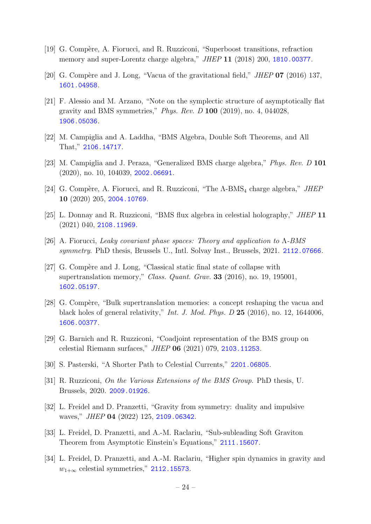- <span id="page-23-1"></span><span id="page-23-0"></span>[19] G. Compère, A. Fiorucci, and R. Ruzziconi, "Superboost transitions, refraction memory and super-Lorentz charge algebra," *JHEP* 11 (2018) 200, [1810.00377](http://www.arXiv.org/abs/1810.00377).
- <span id="page-23-2"></span>[20] G. Compère and J. Long, "Vacua of the gravitational field," *JHEP* 07 (2016) 137, [1601.04958](http://www.arXiv.org/abs/1601.04958).
- [21] F. Alessio and M. Arzano, "Note on the symplectic structure of asymptotically flat gravity and BMS symmetries," *Phys. Rev. D* 100 (2019), no. 4, 044028, [1906.05036](http://www.arXiv.org/abs/1906.05036).
- <span id="page-23-4"></span><span id="page-23-3"></span>[22] M. Campiglia and A. Laddha, "BMS Algebra, Double Soft Theorems, and All That," [2106.14717](http://www.arXiv.org/abs/2106.14717).
- <span id="page-23-14"></span>[23] M. Campiglia and J. Peraza, "Generalized BMS charge algebra," *Phys. Rev. D* 101 (2020), no. 10, 104039, [2002.06691](http://www.arXiv.org/abs/2002.06691).
- <span id="page-23-8"></span>[24] G. Compère, A. Fiorucci, and R. Ruzziconi, "The Λ-BMS<sub>4</sub> charge algebra," *JHEP* 10 (2020) 205, [2004.10769](http://www.arXiv.org/abs/2004.10769).
- <span id="page-23-5"></span>[25] L. Donnay and R. Ruzziconi, "BMS flux algebra in celestial holography," *JHEP* 11 (2021) 040, [2108.11969](http://www.arXiv.org/abs/2108.11969).
- <span id="page-23-6"></span>[26] A. Fiorucci, *Leaky covariant phase spaces: Theory and application to* Λ*-BMS symmetry*. PhD thesis, Brussels U., Intl. Solvay Inst., Brussels, 2021. [2112.07666](http://www.arXiv.org/abs/2112.07666).
- [27] G. Compère and J. Long, "Classical static final state of collapse with supertranslation memory," *Class. Quant. Grav.* 33 (2016), no. 19, 195001, [1602.05197](http://www.arXiv.org/abs/1602.05197).
- <span id="page-23-7"></span>[28] G. Compère, "Bulk supertranslation memories: a concept reshaping the vacua and black holes of general relativity," *Int. J. Mod. Phys. D* 25 (2016), no. 12, 1644006, [1606.00377](http://www.arXiv.org/abs/1606.00377).
- <span id="page-23-10"></span><span id="page-23-9"></span>[29] G. Barnich and R. Ruzziconi, "Coadjoint representation of the BMS group on celestial Riemann surfaces," *JHEP* 06 (2021) 079, [2103.11253](http://www.arXiv.org/abs/2103.11253).
- <span id="page-23-11"></span>[30] S. Pasterski, "A Shorter Path to Celestial Currents," [2201.06805](http://www.arXiv.org/abs/2201.06805).
- <span id="page-23-12"></span>[31] R. Ruzziconi, *On the Various Extensions of the BMS Group*. PhD thesis, U. Brussels, 2020. [2009.01926](http://www.arXiv.org/abs/2009.01926).
- [32] L. Freidel and D. Pranzetti, "Gravity from symmetry: duality and impulsive waves," *JHEP* 04 (2022) 125, [2109.06342](http://www.arXiv.org/abs/2109.06342).
- <span id="page-23-13"></span>[33] L. Freidel, D. Pranzetti, and A.-M. Raclariu, "Sub-subleading Soft Graviton Theorem from Asymptotic Einstein's Equations," [2111.15607](http://www.arXiv.org/abs/2111.15607).
- [34] L. Freidel, D. Pranzetti, and A.-M. Raclariu, "Higher spin dynamics in gravity and  $w_{1+\infty}$  celestial symmetries," [2112.15573](http://www.arXiv.org/abs/2112.15573).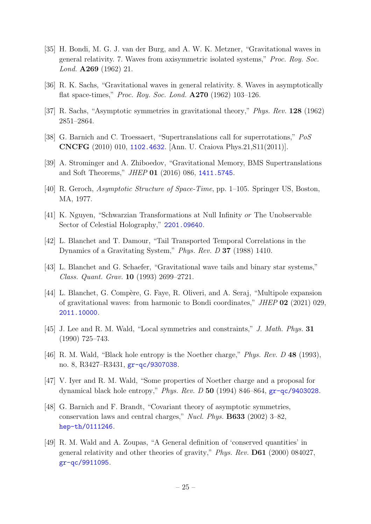- <span id="page-24-0"></span>[35] H. Bondi, M. G. J. van der Burg, and A. W. K. Metzner, "Gravitational waves in general relativity. 7. Waves from axisymmetric isolated systems," *Proc. Roy. Soc. Lond.* A269 (1962) 21.
- <span id="page-24-1"></span>[36] R. K. Sachs, "Gravitational waves in general relativity. 8. Waves in asymptotically flat space-times," *Proc. Roy. Soc. Lond.* A270 (1962) 103–126.
- <span id="page-24-2"></span>[37] R. Sachs, "Asymptotic symmetries in gravitational theory," *Phys. Rev.* 128 (1962) 2851–2864.
- <span id="page-24-3"></span>[38] G. Barnich and C. Troessaert, "Supertranslations call for superrotations," *PoS* CNCFG (2010) 010, [1102.4632](http://www.arXiv.org/abs/1102.4632). [Ann. U. Craiova Phys.21,S11(2011)].
- <span id="page-24-4"></span>[39] A. Strominger and A. Zhiboedov, "Gravitational Memory, BMS Supertranslations and Soft Theorems," *JHEP* 01 (2016) 086, [1411.5745](http://www.arXiv.org/abs/1411.5745).
- <span id="page-24-5"></span>[40] R. Geroch, *Asymptotic Structure of Space-Time*, pp. 1–105. Springer US, Boston, MA, 1977.
- <span id="page-24-6"></span>[41] K. Nguyen, "Schwarzian Transformations at Null Infinity or The Unobservable Sector of Celestial Holography," [2201.09640](http://www.arXiv.org/abs/2201.09640).
- [42] L. Blanchet and T. Damour, "Tail Transported Temporal Correlations in the Dynamics of a Gravitating System," *Phys. Rev. D* 37 (1988) 1410.
- <span id="page-24-7"></span>[43] L. Blanchet and G. Schaefer, "Gravitational wave tails and binary star systems," *Class. Quant. Grav.* 10 (1993) 2699–2721.
- [44] L. Blanchet, G. Compère, G. Faye, R. Oliveri, and A. Seraj, "Multipole expansion" of gravitational waves: from harmonic to Bondi coordinates," *JHEP* 02 (2021) 029, [2011.10000](http://www.arXiv.org/abs/2011.10000).
- <span id="page-24-8"></span>[45] J. Lee and R. M. Wald, "Local symmetries and constraints," *J. Math. Phys.* 31 (1990) 725–743.
- <span id="page-24-11"></span>[46] R. M. Wald, "Black hole entropy is the Noether charge," *Phys. Rev. D* 48 (1993), no. 8, R3427–R3431, [gr-qc/9307038](http://www.arXiv.org/abs/gr-qc/9307038).
- <span id="page-24-9"></span>[47] V. Iyer and R. M. Wald, "Some properties of Noether charge and a proposal for dynamical black hole entropy," *Phys. Rev. D* 50 (1994) 846–864, [gr-qc/9403028](http://www.arXiv.org/abs/gr-qc/9403028).
- [48] G. Barnich and F. Brandt, "Covariant theory of asymptotic symmetries, conservation laws and central charges," *Nucl. Phys.* B633 (2002) 3–82, [hep-th/0111246](http://www.arXiv.org/abs/hep-th/0111246).
- <span id="page-24-10"></span>[49] R. M. Wald and A. Zoupas, "A General definition of 'conserved quantities' in general relativity and other theories of gravity," *Phys. Rev.* D61 (2000) 084027, [gr-qc/9911095](http://www.arXiv.org/abs/gr-qc/9911095).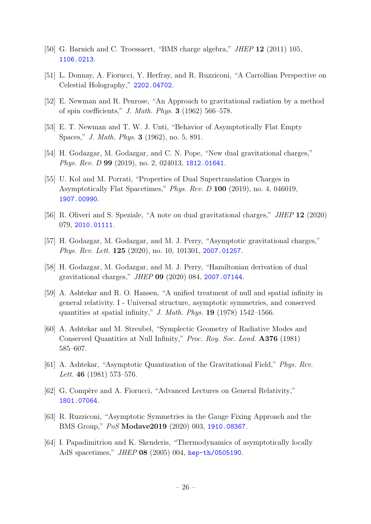- <span id="page-25-1"></span><span id="page-25-0"></span>[50] G. Barnich and C. Troessaert, "BMS charge algebra," *JHEP* 12 (2011) 105, [1106.0213](http://www.arXiv.org/abs/1106.0213).
- <span id="page-25-2"></span>[51] L. Donnay, A. Fiorucci, Y. Herfray, and R. Ruzziconi, "A Carrollian Perspective on Celestial Holography," [2202.04702](http://www.arXiv.org/abs/2202.04702).
- <span id="page-25-3"></span>[52] E. Newman and R. Penrose, "An Approach to gravitational radiation by a method of spin coefficients," *J. Math. Phys.* 3 (1962) 566–578.
- <span id="page-25-4"></span>[53] E. T. Newman and T. W. J. Unti, "Behavior of Asymptotically Flat Empty Spaces," *J. Math. Phys.* 3 (1962), no. 5, 891.
- [54] H. Godazgar, M. Godazgar, and C. N. Pope, "New dual gravitational charges," *Phys. Rev. D* 99 (2019), no. 2, 024013, [1812.01641](http://www.arXiv.org/abs/1812.01641).
- [55] U. Kol and M. Porrati, "Properties of Dual Supertranslation Charges in Asymptotically Flat Spacetimes," *Phys. Rev. D* 100 (2019), no. 4, 046019, [1907.00990](http://www.arXiv.org/abs/1907.00990).
- [56] R. Oliveri and S. Speziale, "A note on dual gravitational charges," *JHEP* 12 (2020) 079, [2010.01111](http://www.arXiv.org/abs/2010.01111).
- <span id="page-25-5"></span>[57] H. Godazgar, M. Godazgar, and M. J. Perry, "Asymptotic gravitational charges," *Phys. Rev. Lett.* 125 (2020), no. 10, 101301, [2007.01257](http://www.arXiv.org/abs/2007.01257).
- <span id="page-25-6"></span>[58] H. Godazgar, M. Godazgar, and M. J. Perry, "Hamiltonian derivation of dual gravitational charges," *JHEP* 09 (2020) 084, [2007.07144](http://www.arXiv.org/abs/2007.07144).
- [59] A. Ashtekar and R. O. Hansen, "A unified treatment of null and spatial infinity in general relativity. I - Universal structure, asymptotic symmetries, and conserved quantities at spatial infinity," *J. Math. Phys.* 19 (1978) 1542–1566.
- [60] A. Ashtekar and M. Streubel, "Symplectic Geometry of Radiative Modes and Conserved Quantities at Null Infinity," *Proc. Roy. Soc. Lond.* A376 (1981) 585–607.
- <span id="page-25-8"></span><span id="page-25-7"></span>[61] A. Ashtekar, "Asymptotic Quantization of the Gravitational Field," *Phys. Rev. Lett.* 46 (1981) 573–576.
- <span id="page-25-9"></span>[62] G. Compère and A. Fiorucci, "Advanced Lectures on General Relativity," [1801.07064](http://www.arXiv.org/abs/1801.07064).
- [63] R. Ruzziconi, "Asymptotic Symmetries in the Gauge Fixing Approach and the BMS Group," *PoS* Modave2019 (2020) 003, [1910.08367](http://www.arXiv.org/abs/1910.08367).
- <span id="page-25-10"></span>[64] I. Papadimitriou and K. Skenderis, "Thermodynamics of asymptotically locally AdS spacetimes," *JHEP* 08 (2005) 004, [hep-th/0505190](http://www.arXiv.org/abs/hep-th/0505190).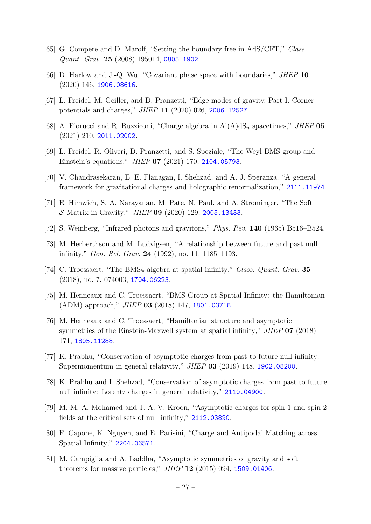- [65] G. Compere and D. Marolf, "Setting the boundary free in AdS/CFT," *Class. Quant. Grav.* 25 (2008) 195014, [0805.1902](http://www.arXiv.org/abs/0805.1902).
- [66] D. Harlow and J.-Q. Wu, "Covariant phase space with boundaries," *JHEP* 10 (2020) 146, [1906.08616](http://www.arXiv.org/abs/1906.08616).
- [67] L. Freidel, M. Geiller, and D. Pranzetti, "Edge modes of gravity. Part I. Corner potentials and charges," *JHEP* 11 (2020) 026, [2006.12527](http://www.arXiv.org/abs/2006.12527).
- [68] A. Fiorucci and R. Ruzziconi, "Charge algebra in  $A(A)dS_n$  spacetimes," *JHEP* 05 (2021) 210, [2011.02002](http://www.arXiv.org/abs/2011.02002).
- <span id="page-26-0"></span>[69] L. Freidel, R. Oliveri, D. Pranzetti, and S. Speziale, "The Weyl BMS group and Einstein's equations," *JHEP* 07 (2021) 170, [2104.05793](http://www.arXiv.org/abs/2104.05793).
- <span id="page-26-1"></span>[70] V. Chandrasekaran, E. E. Flanagan, I. Shehzad, and A. J. Speranza, "A general framework for gravitational charges and holographic renormalization," [2111.11974](http://www.arXiv.org/abs/2111.11974).
- <span id="page-26-2"></span>[71] E. Himwich, S. A. Narayanan, M. Pate, N. Paul, and A. Strominger, "The Soft S-Matrix in Gravity," *JHEP* 09 (2020) 129, [2005.13433](http://www.arXiv.org/abs/2005.13433).
- <span id="page-26-3"></span>[72] S. Weinberg, "Infrared photons and gravitons," *Phys. Rev.* 140 (1965) B516–B524.
- [73] M. Herberthson and M. Ludvigsen, "A relationship between future and past null infinity," *Gen. Rel. Grav.* 24 (1992), no. 11, 1185–1193.
- [74] C. Troessaert, "The BMS4 algebra at spatial infinity," *Class. Quant. Grav.* 35 (2018), no. 7, 074003, [1704.06223](http://www.arXiv.org/abs/1704.06223).
- [75] M. Henneaux and C. Troessaert, "BMS Group at Spatial Infinity: the Hamiltonian (ADM) approach," *JHEP* 03 (2018) 147, [1801.03718](http://www.arXiv.org/abs/1801.03718).
- [76] M. Henneaux and C. Troessaert, "Hamiltonian structure and asymptotic symmetries of the Einstein-Maxwell system at spatial infinity," *JHEP* 07 (2018) 171, [1805.11288](http://www.arXiv.org/abs/1805.11288).
- [77] K. Prabhu, "Conservation of asymptotic charges from past to future null infinity: Supermomentum in general relativity," *JHEP* 03 (2019) 148, [1902.08200](http://www.arXiv.org/abs/1902.08200).
- [78] K. Prabhu and I. Shehzad, "Conservation of asymptotic charges from past to future null infinity: Lorentz charges in general relativity," [2110.04900](http://www.arXiv.org/abs/2110.04900).
- <span id="page-26-4"></span>[79] M. M. A. Mohamed and J. A. V. Kroon, "Asymptotic charges for spin-1 and spin-2 fields at the critical sets of null infinity," [2112.03890](http://www.arXiv.org/abs/2112.03890).
- <span id="page-26-5"></span>[80] F. Capone, K. Nguyen, and E. Parisini, "Charge and Antipodal Matching across Spatial Infinity," [2204.06571](http://www.arXiv.org/abs/2204.06571).
- [81] M. Campiglia and A. Laddha, "Asymptotic symmetries of gravity and soft theorems for massive particles," *JHEP* 12 (2015) 094, [1509.01406](http://www.arXiv.org/abs/1509.01406).